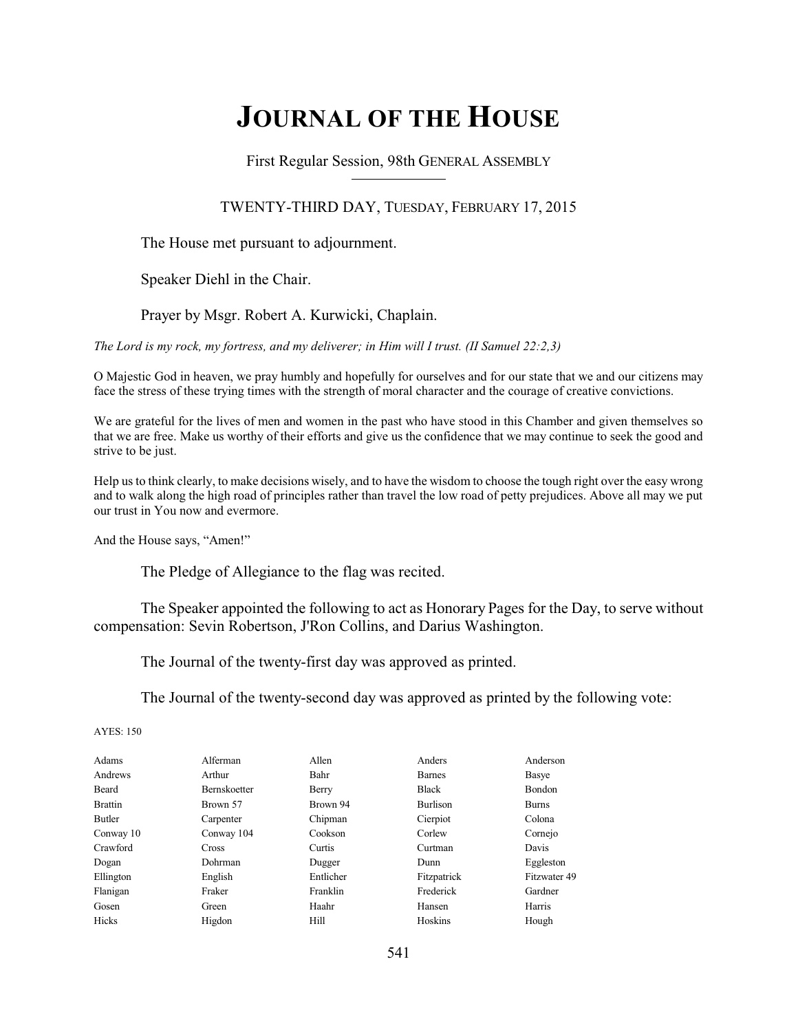# **JOURNAL OF THE HOUSE**

First Regular Session, 98th GENERAL ASSEMBLY

TWENTY-THIRD DAY, TUESDAY, FEBRUARY 17, 2015

The House met pursuant to adjournment.

Speaker Diehl in the Chair.

Prayer by Msgr. Robert A. Kurwicki, Chaplain.

*The Lord is my rock, my fortress, and my deliverer; in Him will I trust. (II Samuel 22:2,3)*

O Majestic God in heaven, we pray humbly and hopefully for ourselves and for our state that we and our citizens may face the stress of these trying times with the strength of moral character and the courage of creative convictions.

We are grateful for the lives of men and women in the past who have stood in this Chamber and given themselves so that we are free. Make us worthy of their efforts and give us the confidence that we may continue to seek the good and strive to be just.

Help us to think clearly, to make decisions wisely, and to have the wisdom to choose the tough right over the easy wrong and to walk along the high road of principles rather than travel the low road of petty prejudices. Above all may we put our trust in You now and evermore.

And the House says, "Amen!"

The Pledge of Allegiance to the flag was recited.

The Speaker appointed the following to act as Honorary Pages for the Day, to serve without compensation: Sevin Robertson, J'Ron Collins, and Darius Washington.

The Journal of the twenty-first day was approved as printed.

The Journal of the twenty-second day was approved as printed by the following vote:

AYES: 150

| Adams          | Alferman            | Allen     | Anders        | Anderson      |
|----------------|---------------------|-----------|---------------|---------------|
| Andrews        | Arthur              | Bahr      | <b>Barnes</b> | Basye         |
| Beard          | <b>Bernskoetter</b> | Berry     | <b>Black</b>  | <b>Bondon</b> |
| <b>Brattin</b> | Brown 57            | Brown 94  | Burlison      | <b>Burns</b>  |
| Butler         | Carpenter           | Chipman   | Cierpiot      | Colona        |
| Conway 10      | Conway 104          | Cookson   | Corlew        | Cornejo       |
| Crawford       | <b>Cross</b>        | Curtis    | Curtman       | Davis         |
| Dogan          | Dohrman             | Dugger    | Dunn          | Eggleston     |
| Ellington      | English             | Entlicher | Fitzpatrick   | Fitzwater 49  |
| Flanigan       | Fraker              | Franklin  | Frederick     | Gardner       |
| Gosen          | Green               | Haahr     | Hansen        | Harris        |
| Hicks          | Higdon              | Hill      | Hoskins       | Hough         |
|                |                     |           |               |               |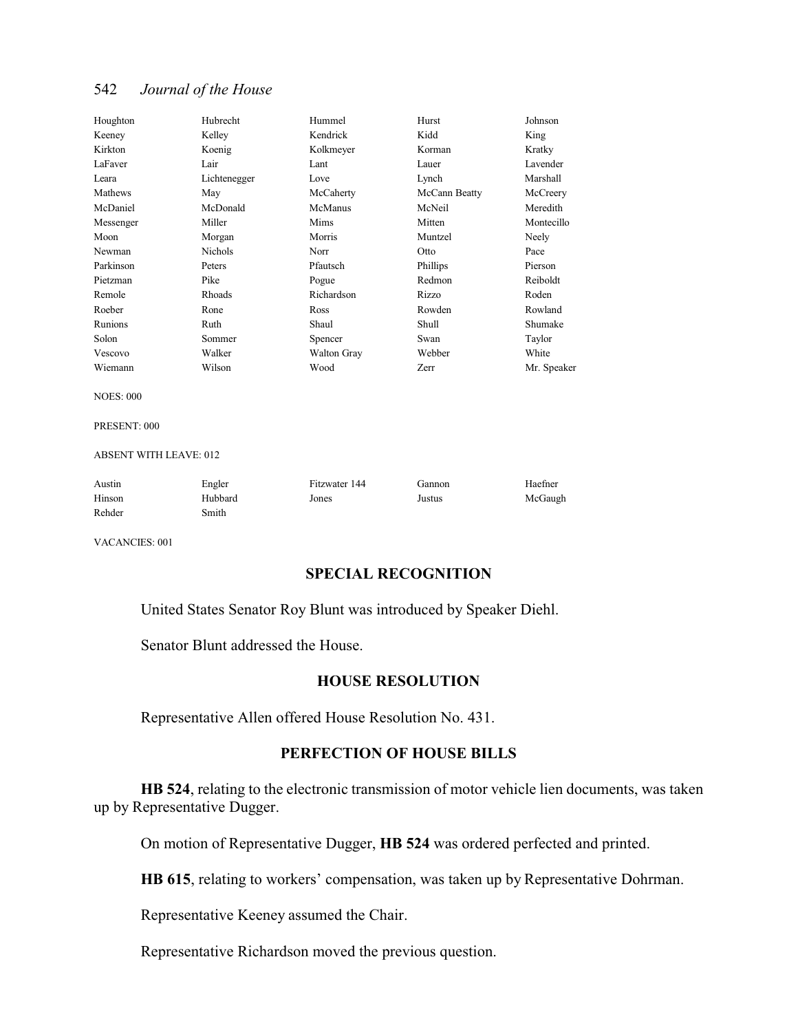| Houghton  | Hubrecht       | Hummel             | Hurst         | Johnson     |
|-----------|----------------|--------------------|---------------|-------------|
| Keeney    | Kelley         | Kendrick           | Kidd          | King        |
| Kirkton   | Koenig         | Kolkmeyer          | Korman        | Kratky      |
| LaFaver   | Lair           | Lant               | Lauer         | Lavender    |
| Leara     | Lichtenegger   | Love               | Lynch         | Marshall    |
| Mathews   | May            | McCaherty          | McCann Beatty | McCreery    |
| McDaniel  | McDonald       | McManus            | McNeil        | Meredith    |
| Messenger | Miller         | Mims               | Mitten        | Montecillo  |
| Moon      | Morgan         | Morris             | Muntzel       | Neely       |
| Newman    | <b>Nichols</b> | Norr               | Otto          | Pace        |
| Parkinson | Peters         | Pfautsch           | Phillips      | Pierson     |
| Pietzman  | Pike           | Pogue              | Redmon        | Reiboldt    |
| Remole    | Rhoads         | Richardson         | Rizzo         | Roden       |
| Roeber    | Rone           | Ross               | Rowden        | Rowland     |
| Runions   | Ruth           | Shaul              | Shull         | Shumake     |
| Solon     | Sommer         | Spencer            | Swan          | Taylor      |
| Vescovo   | Walker         | <b>Walton Gray</b> | Webber        | White       |
| Wiemann   | Wilson         | Wood               | Zerr          | Mr. Speaker |

NOES: 000

PRESENT: 000

#### ABSENT WITH LEAVE: 012

| Austin | Engler  | Fitzwater 144 | Gannon | Haefner |
|--------|---------|---------------|--------|---------|
| Hinson | Hubbard | Jones         | Justus | McGaugh |
| Rehder | Smith   |               |        |         |

VACANCIES: 001

# **SPECIAL RECOGNITION**

United States Senator Roy Blunt was introduced by Speaker Diehl.

Senator Blunt addressed the House.

### **HOUSE RESOLUTION**

Representative Allen offered House Resolution No. 431.

# **PERFECTION OF HOUSE BILLS**

**HB 524**, relating to the electronic transmission of motor vehicle lien documents, was taken up by Representative Dugger.

On motion of Representative Dugger, **HB 524** was ordered perfected and printed.

**HB 615**, relating to workers' compensation, was taken up by Representative Dohrman.

Representative Keeney assumed the Chair.

Representative Richardson moved the previous question.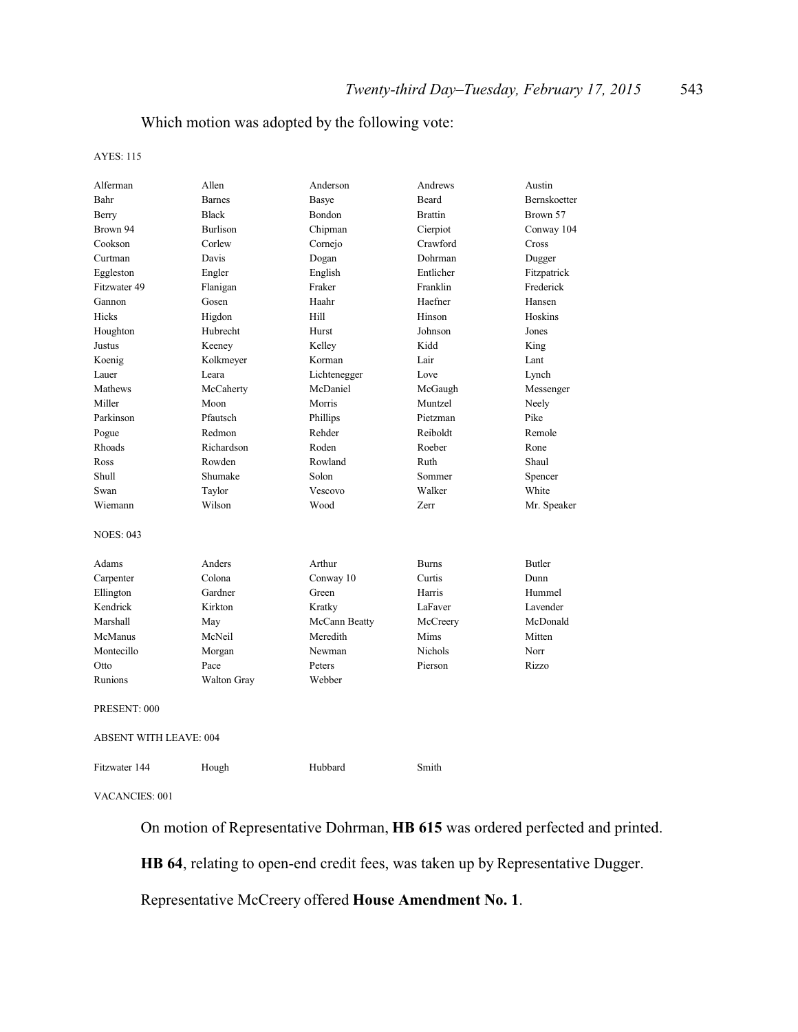# Which motion was adopted by the following vote:

#### AYES: 115

| Alferman                      | Allen              | Anderson      | Andrews        | Austin        |
|-------------------------------|--------------------|---------------|----------------|---------------|
| Bahr                          | <b>Barnes</b>      | Basye         | Beard          | Bernskoetter  |
| Berry                         | <b>Black</b>       | Bondon        | <b>Brattin</b> | Brown 57      |
| Brown 94                      | <b>Burlison</b>    | Chipman       | Cierpiot       | Conway 104    |
| Cookson                       | Corlew             | Cornejo       | Crawford       | Cross         |
| Curtman                       | Davis              | Dogan         | Dohrman        | Dugger        |
| Eggleston                     | Engler             | English       | Entlicher      | Fitzpatrick   |
| Fitzwater 49                  | Flanigan           | Fraker        | Franklin       | Frederick     |
| Gannon                        | Gosen              | Haahr         | Haefner        | Hansen        |
| Hicks                         | Higdon             | Hill          | Hinson         | Hoskins       |
| Houghton                      | Hubrecht           | Hurst         | Johnson        | Jones         |
| Justus                        | Keeney             | Kelley        | Kidd           | King          |
| Koenig                        | Kolkmeyer          | Korman        | Lair           | Lant          |
| Lauer                         | Leara              | Lichtenegger  | Love           | Lynch         |
| Mathews                       | McCaherty          | McDaniel      | McGaugh        | Messenger     |
| Miller                        | Moon               | Morris        | Muntzel        | Neely         |
| Parkinson                     | Pfautsch           | Phillips      | Pietzman       | Pike          |
| Pogue                         | Redmon             | Rehder        | Reiboldt       | Remole        |
| Rhoads                        | Richardson         | Roden         | Roeber         | Rone          |
| Ross                          | Rowden             | Rowland       | Ruth           | Shaul         |
| Shull                         | Shumake            | Solon         | Sommer         | Spencer       |
| Swan                          | Taylor             | Vescovo       | Walker         | White         |
| Wiemann                       | Wilson             | Wood          | Zerr           | Mr. Speaker   |
| <b>NOES: 043</b>              |                    |               |                |               |
| Adams                         | Anders             | Arthur        | <b>Burns</b>   | <b>Butler</b> |
| Carpenter                     | Colona             | Conway 10     | Curtis         | Dunn          |
| Ellington                     | Gardner            | Green         | Harris         | Hummel        |
| Kendrick                      | Kirkton            | Kratky        | LaFaver        | Lavender      |
| Marshall                      | May                | McCann Beatty | McCreery       | McDonald      |
| <b>McManus</b>                | McNeil             | Meredith      | Mims           | Mitten        |
| Montecillo                    | Morgan             | Newman        | <b>Nichols</b> | Norr          |
| Otto                          | Pace               | Peters        | Pierson        | Rizzo         |
| Runions                       | <b>Walton Gray</b> | Webber        |                |               |
| PRESENT: 000                  |                    |               |                |               |
| <b>ABSENT WITH LEAVE: 004</b> |                    |               |                |               |
| Fitzwater 144                 | Hough              | Hubbard       | Smith          |               |

VACANCIES: 001

On motion of Representative Dohrman, **HB 615** was ordered perfected and printed.

**HB 64**, relating to open-end credit fees, was taken up by Representative Dugger.

Representative McCreery offered **House Amendment No. 1**.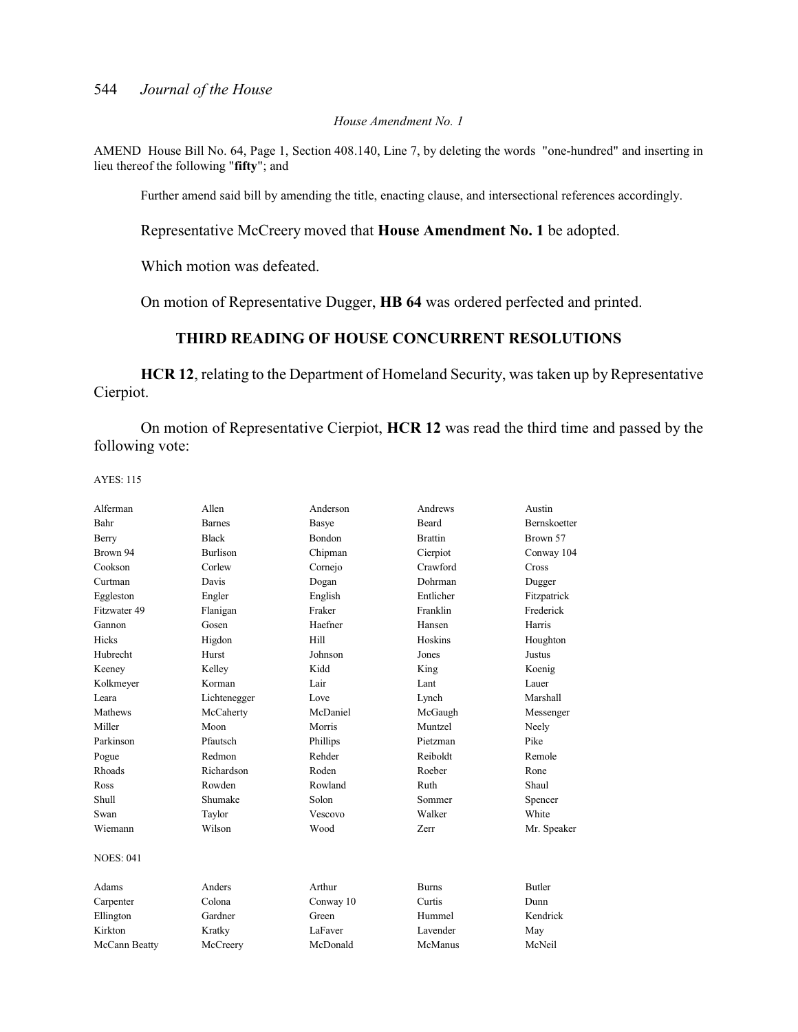#### *House Amendment No. 1*

AMEND House Bill No. 64, Page 1, Section 408.140, Line 7, by deleting the words "one-hundred" and inserting in lieu thereof the following "**fifty**"; and

Further amend said bill by amending the title, enacting clause, and intersectional references accordingly.

Representative McCreery moved that **House Amendment No. 1** be adopted.

Which motion was defeated.

On motion of Representative Dugger, **HB 64** was ordered perfected and printed.

# **THIRD READING OF HOUSE CONCURRENT RESOLUTIONS**

**HCR 12**, relating to the Department of Homeland Security, was taken up by Representative Cierpiot.

On motion of Representative Cierpiot, **HCR 12** was read the third time and passed by the following vote:

AYES: 115

| Alferman         | Allen           | Anderson      | Andrews        | Austin              |
|------------------|-----------------|---------------|----------------|---------------------|
| Bahr             | <b>Barnes</b>   | Basye         | <b>Beard</b>   | <b>Bernskoetter</b> |
| Berry            | <b>Black</b>    | <b>Bondon</b> | <b>Brattin</b> | Brown 57            |
| Brown 94         | <b>Burlison</b> | Chipman       | Cierpiot       | Conway 104          |
| Cookson          | Corlew          | Cornejo       | Crawford       | Cross               |
| Curtman          | Davis           | Dogan         | Dohrman        | Dugger              |
| Eggleston        | Engler          | English       | Entlicher      | Fitzpatrick         |
| Fitzwater 49     | Flanigan        | Fraker        | Franklin       | Frederick           |
| Gannon           | Gosen           | Haefner       | Hansen         | Harris              |
| Hicks            | Higdon          | Hill          | Hoskins        | Houghton            |
| Hubrecht         | Hurst           | Johnson       | Jones          | Justus              |
| Keeney           | Kelley          | Kidd          | King           | Koenig              |
| Kolkmeyer        | Korman          | Lair          | Lant           | Lauer               |
| Leara            | Lichtenegger    | Love          | Lynch          | Marshall            |
| Mathews          | McCaherty       | McDaniel      | McGaugh        | Messenger           |
| Miller           | Moon            | Morris        | Muntzel        | Neely               |
| Parkinson        | Pfautsch        | Phillips      | Pietzman       | Pike                |
| Pogue            | Redmon          | Rehder        | Reiboldt       | Remole              |
| Rhoads           | Richardson      | Roden         | Roeber         | Rone                |
| Ross             | Rowden          | Rowland       | Ruth           | Shaul               |
| <b>Shull</b>     | Shumake         | Solon         | Sommer         | Spencer             |
| Swan             | Taylor          | Vescovo       | Walker         | White               |
| Wiemann          | Wilson          | Wood          | Zerr           | Mr. Speaker         |
| <b>NOES: 041</b> |                 |               |                |                     |
| Adams            | Anders          | Arthur        | <b>Burns</b>   | <b>Butler</b>       |
| Carpenter        | Colona          | Conway 10     | Curtis         | Dunn                |
| Ellington        | Gardner         | Green         | Hummel         | Kendrick            |
| Kirkton          | Kratky          | LaFaver       | Lavender       | May                 |
| McCann Beatty    | McCreery        | McDonald      | McManus        | McNeil              |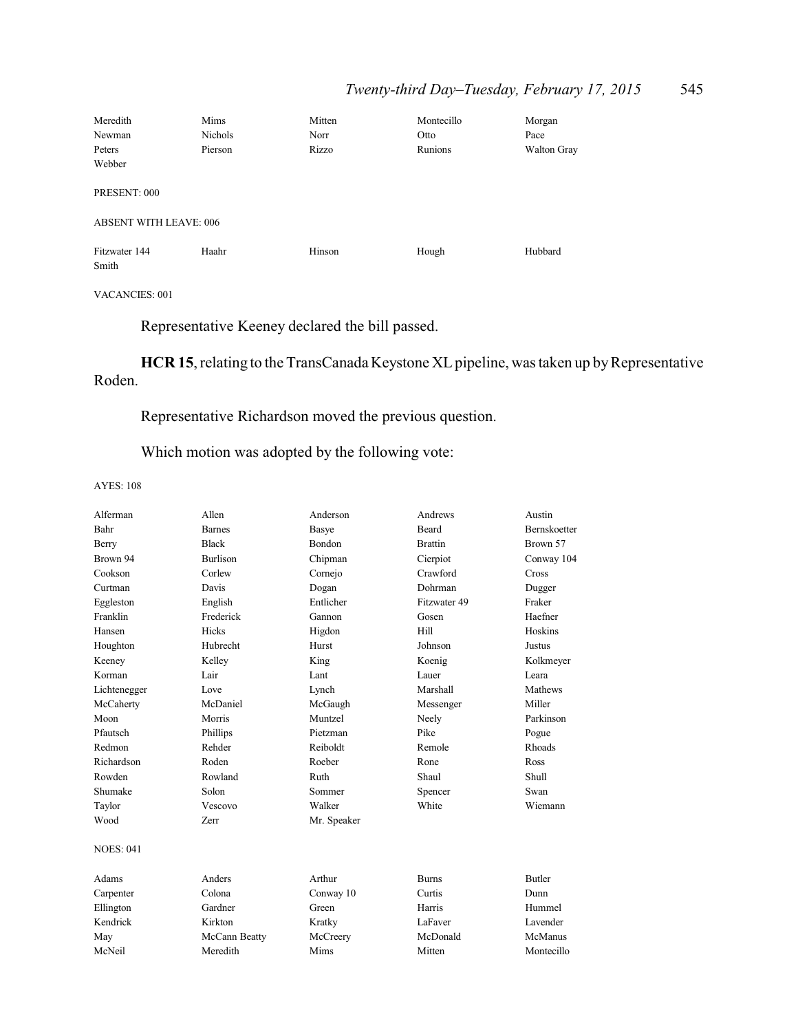# *Twenty-third Day–Tuesday, February 17, 2015* 545

| Meredith                      | Mims    | Mitten | Montecillo | Morgan      |
|-------------------------------|---------|--------|------------|-------------|
| Newman                        | Nichols | Norr   | Otto       | Pace        |
| Peters                        | Pierson | Rizzo  | Runions    | Walton Gray |
| Webber                        |         |        |            |             |
| PRESENT: 000                  |         |        |            |             |
| <b>ABSENT WITH LEAVE: 006</b> |         |        |            |             |
| Fitzwater 144<br>Smith        | Haahr   | Hinson | Hough      | Hubbard     |

### VACANCIES: 001

Representative Keeney declared the bill passed.

HCR 15, relating to the TransCanada Keystone XL pipeline, was taken up by Representative Roden.

# Representative Richardson moved the previous question.

# Which motion was adopted by the following vote:

#### AYES: 108

| Alferman         | Allen           | Anderson      | Andrews        | Austin              |
|------------------|-----------------|---------------|----------------|---------------------|
| Bahr             | <b>Barnes</b>   | Basye         | Beard          | <b>Bernskoetter</b> |
| Berry            | <b>Black</b>    | <b>Bondon</b> | <b>Brattin</b> | Brown 57            |
| Brown 94         | <b>Burlison</b> | Chipman       | Cierpiot       | Conway 104          |
| Cookson          | Corlew          | Cornejo       | Crawford       | Cross               |
| Curtman          | Davis           | Dogan         | Dohrman        | Dugger              |
| Eggleston        | English         | Entlicher     | Fitzwater 49   | Fraker              |
| Franklin         | Frederick       | Gannon        | Gosen          | Haefner             |
| Hansen           | <b>Hicks</b>    | Higdon        | Hill           | Hoskins             |
| Houghton         | Hubrecht        | Hurst         | Johnson        | Justus              |
| Keeney           | Kelley          | King          | Koenig         | Kolkmeyer           |
| Korman           | Lair            | Lant          | Lauer          | Leara               |
| Lichtenegger     | Love            | Lynch         | Marshall       | Mathews             |
| McCaherty        | McDaniel        | McGaugh       | Messenger      | Miller              |
| Moon             | Morris          | Muntzel       | Neely          | Parkinson           |
| Pfautsch         | Phillips        | Pietzman      | Pike           | Pogue               |
| Redmon           | Rehder          | Reiboldt      | Remole         | Rhoads              |
| Richardson       | Roden           | Roeber        | Rone           | Ross                |
| Rowden           | Rowland         | Ruth          | Shaul          | Shull               |
| Shumake          | Solon           | Sommer        | Spencer        | Swan                |
| Taylor           | Vescovo         | Walker        | White          | Wiemann             |
| Wood             | Zerr            | Mr. Speaker   |                |                     |
| <b>NOES: 041</b> |                 |               |                |                     |
| Adams            | Anders          | Arthur        | <b>Burns</b>   | <b>Butler</b>       |
| Carpenter        | Colona          | Conway 10     | Curtis         | Dunn                |
| Ellington        | Gardner         | Green         | Harris         | Hummel              |
| Kendrick         | Kirkton         | Kratky        | LaFaver        | Lavender            |
| May              | McCann Beatty   | McCreery      | McDonald       | McManus             |
| McNeil           | Meredith        | Mims          | Mitten         | Montecillo          |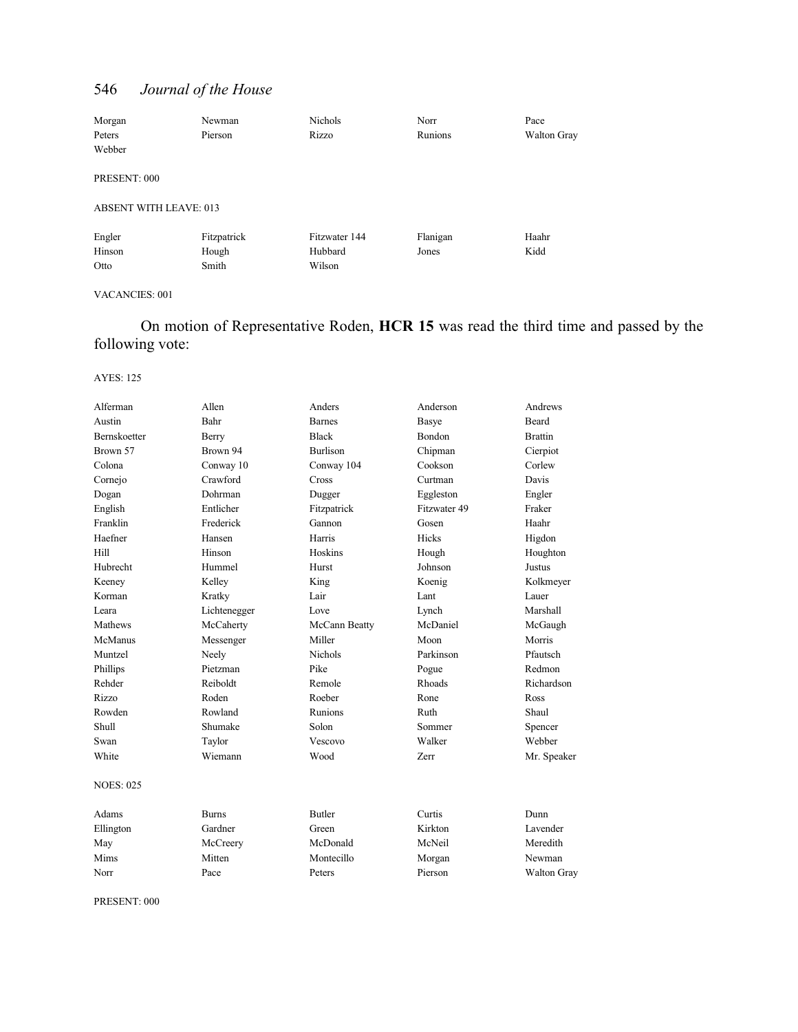| Morgan                        | Newman      | <b>Nichols</b> | Norr     | Pace        |
|-------------------------------|-------------|----------------|----------|-------------|
| Peters                        | Pierson     | Rizzo          | Runions  | Walton Gray |
| Webber                        |             |                |          |             |
| PRESENT: 000                  |             |                |          |             |
| <b>ABSENT WITH LEAVE: 013</b> |             |                |          |             |
| Engler                        | Fitzpatrick | Fitzwater 144  | Flanigan | Haahr       |
| Hinson                        | Hough       | Hubbard        | Jones    | Kidd        |
| Otto                          | Smith       | Wilson         |          |             |

#### VACANCIES: 001

On motion of Representative Roden, **HCR 15** was read the third time and passed by the following vote:

#### AYES: 125

| Alferman         | Allen        | Anders          | Anderson     | Andrews        |
|------------------|--------------|-----------------|--------------|----------------|
| Austin           | Bahr         | <b>Barnes</b>   | <b>Basye</b> | <b>Beard</b>   |
| Bernskoetter     | Berry        | <b>Black</b>    | Bondon       | <b>Brattin</b> |
| Brown 57         | Brown 94     | <b>Burlison</b> | Chipman      | Cierpiot       |
| Colona           | Conway 10    | Conway 104      | Cookson      | Corlew         |
| Cornejo          | Crawford     | Cross           | Curtman      | Davis          |
| Dogan            | Dohrman      | Dugger          | Eggleston    | Engler         |
| English          | Entlicher    | Fitzpatrick     | Fitzwater 49 | Fraker         |
| Franklin         | Frederick    | Gannon          | Gosen        | Haahr          |
| Haefner          | Hansen       | Harris          | Hicks        | Higdon         |
| Hill             | Hinson       | Hoskins         | Hough        | Houghton       |
| Hubrecht         | Hummel       | Hurst           | Johnson      | <b>Justus</b>  |
| Keeney           | Kelley       | King            | Koenig       | Kolkmeyer      |
| Korman           | Kratky       | Lair            | Lant         | Lauer          |
| Leara            | Lichtenegger | Love            | Lynch        | Marshall       |
| Mathews          | McCaherty    | McCann Beatty   | McDaniel     | McGaugh        |
| McManus          | Messenger    | Miller          | Moon         | Morris         |
| Muntzel          | Neely        | <b>Nichols</b>  | Parkinson    | Pfautsch       |
| Phillips         | Pietzman     | Pike            | Pogue        | Redmon         |
| Rehder           | Reiboldt     | Remole          | Rhoads       | Richardson     |
| Rizzo            | Roden        | Roeber          | Rone         | Ross           |
| Rowden           | Rowland      | Runions         | Ruth         | Shaul          |
| Shull            | Shumake      | Solon           | Sommer       | Spencer        |
| Swan             | Taylor       | Vescovo         | Walker       | Webber         |
| White            | Wiemann      | Wood            | <b>Zerr</b>  | Mr. Speaker    |
| <b>NOES: 025</b> |              |                 |              |                |
| Adams            | <b>Burns</b> | <b>Butler</b>   | Curtis       | Dunn           |
| Ellington        | Gardner      | Green           | Kirkton      | Lavender       |
| May              | McCreery     | McDonald        | McNeil       | Meredith       |
| Mims             | Mitten       | Montecillo      | Morgan       | Newman         |
| Norr             | Pace         | Peters          | Pierson      | Walton Gray    |
|                  |              |                 |              |                |

PRESENT: 000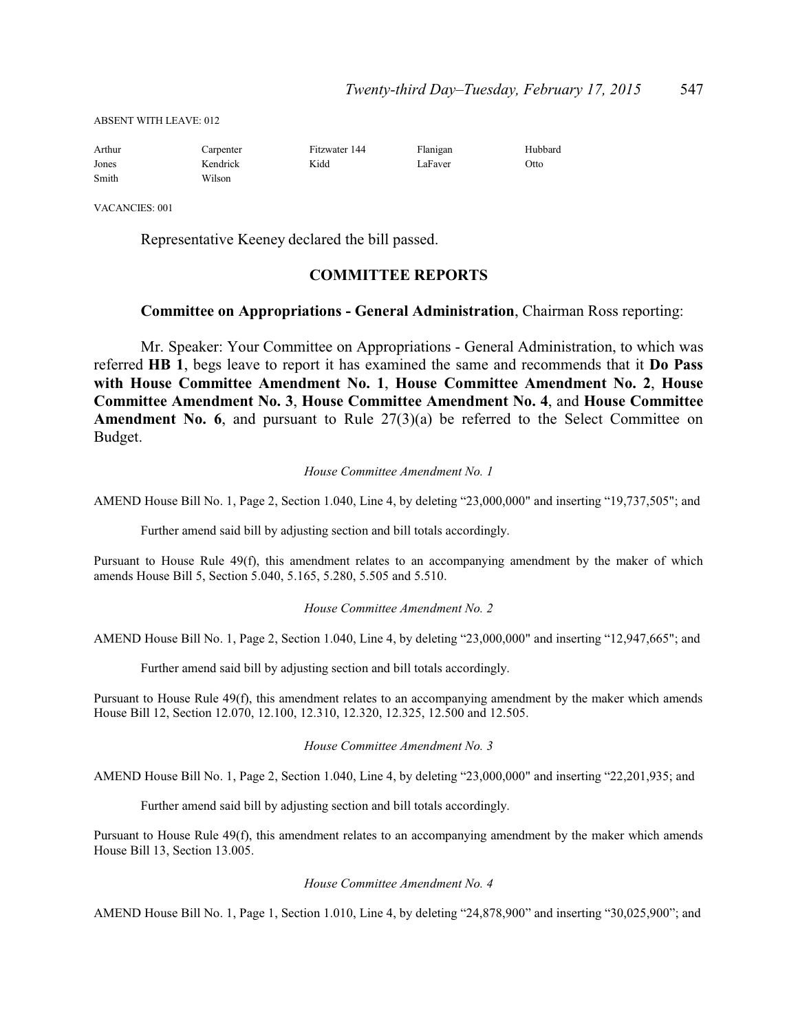ABSENT WITH LEAVE: 012

| Arthur | Carpenter | Fitzwater 144 | Flanigan | Hubbard |
|--------|-----------|---------------|----------|---------|
| Jones  | Kendrick  | Kidd          | LaFaver  | Otto    |
| Smith  | Wilson    |               |          |         |

VACANCIES: 001

Representative Keeney declared the bill passed.

#### **COMMITTEE REPORTS**

#### **Committee on Appropriations - General Administration**, Chairman Ross reporting:

Mr. Speaker: Your Committee on Appropriations - General Administration, to which was referred **HB 1**, begs leave to report it has examined the same and recommends that it **Do Pass with House Committee Amendment No. 1**, **House Committee Amendment No. 2**, **House Committee Amendment No. 3**, **House Committee Amendment No. 4**, and **House Committee Amendment No. 6, and pursuant to Rule 27(3)(a) be referred to the Select Committee on** Budget.

#### *House Committee Amendment No. 1*

AMEND House Bill No. 1, Page 2, Section 1.040, Line 4, by deleting "23,000,000" and inserting "19,737,505"; and

Further amend said bill by adjusting section and bill totals accordingly.

Pursuant to House Rule 49(f), this amendment relates to an accompanying amendment by the maker of which amends House Bill 5, Section 5.040, 5.165, 5.280, 5.505 and 5.510.

#### *House Committee Amendment No. 2*

AMEND House Bill No. 1, Page 2, Section 1.040, Line 4, by deleting "23,000,000" and inserting "12,947,665"; and

Further amend said bill by adjusting section and bill totals accordingly.

Pursuant to House Rule 49(f), this amendment relates to an accompanying amendment by the maker which amends House Bill 12, Section 12.070, 12.100, 12.310, 12.320, 12.325, 12.500 and 12.505.

*House Committee Amendment No. 3*

AMEND House Bill No. 1, Page 2, Section 1.040, Line 4, by deleting "23,000,000" and inserting "22,201,935; and

Further amend said bill by adjusting section and bill totals accordingly.

Pursuant to House Rule 49(f), this amendment relates to an accompanying amendment by the maker which amends House Bill 13, Section 13.005.

#### *House Committee Amendment No. 4*

AMEND House Bill No. 1, Page 1, Section 1.010, Line 4, by deleting "24,878,900" and inserting "30,025,900"; and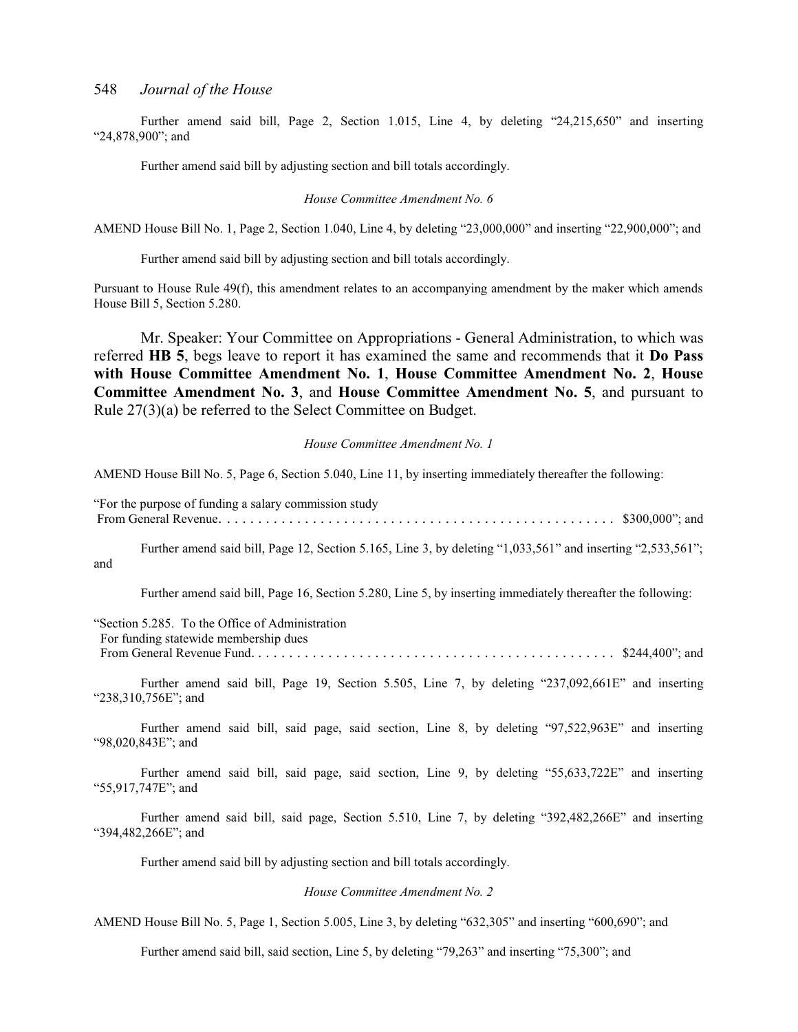Further amend said bill, Page 2, Section 1.015, Line 4, by deleting "24,215,650" and inserting "24,878,900"; and

Further amend said bill by adjusting section and bill totals accordingly.

#### *House Committee Amendment No. 6*

AMEND House Bill No. 1, Page 2, Section 1.040, Line 4, by deleting "23,000,000" and inserting "22,900,000"; and

Further amend said bill by adjusting section and bill totals accordingly.

Pursuant to House Rule 49(f), this amendment relates to an accompanying amendment by the maker which amends House Bill 5, Section 5.280.

Mr. Speaker: Your Committee on Appropriations - General Administration, to which was referred **HB 5**, begs leave to report it has examined the same and recommends that it **Do Pass with House Committee Amendment No. 1**, **House Committee Amendment No. 2**, **House Committee Amendment No. 3**, and **House Committee Amendment No. 5**, and pursuant to Rule 27(3)(a) be referred to the Select Committee on Budget.

#### *House Committee Amendment No. 1*

AMEND House Bill No. 5, Page 6, Section 5.040, Line 11, by inserting immediately thereafter the following:

"For the purpose of funding a salary commission study From General Revenue. . . . . . . . . . . . . . . . . . . . . . . . . . . . . . . . . . . . . . . . . . . . . . . . . . . \$300,000"; and

Further amend said bill, Page 12, Section 5.165, Line 3, by deleting "1,033,561" and inserting "2,533,561"; and

Further amend said bill, Page 16, Section 5.280, Line 5, by inserting immediately thereafter the following:

"Section 5.285. To the Office of Administration

For funding statewide membership dues

From General Revenue Fund. . . . . . . . . . . . . . . . . . . . . . . . . . . . . . . . . . . . . . . . . . . . . . . \$244,400"; and

Further amend said bill, Page 19, Section 5.505, Line 7, by deleting "237,092,661E" and inserting "238,310,756E"; and

Further amend said bill, said page, said section, Line 8, by deleting "97,522,963E" and inserting "98,020,843E"; and

Further amend said bill, said page, said section, Line 9, by deleting "55,633,722E" and inserting "55,917,747E"; and

Further amend said bill, said page, Section 5.510, Line 7, by deleting "392,482,266E" and inserting "394,482,266E"; and

Further amend said bill by adjusting section and bill totals accordingly.

*House Committee Amendment No. 2*

AMEND House Bill No. 5, Page 1, Section 5.005, Line 3, by deleting "632,305" and inserting "600,690"; and

Further amend said bill, said section, Line 5, by deleting "79,263" and inserting "75,300"; and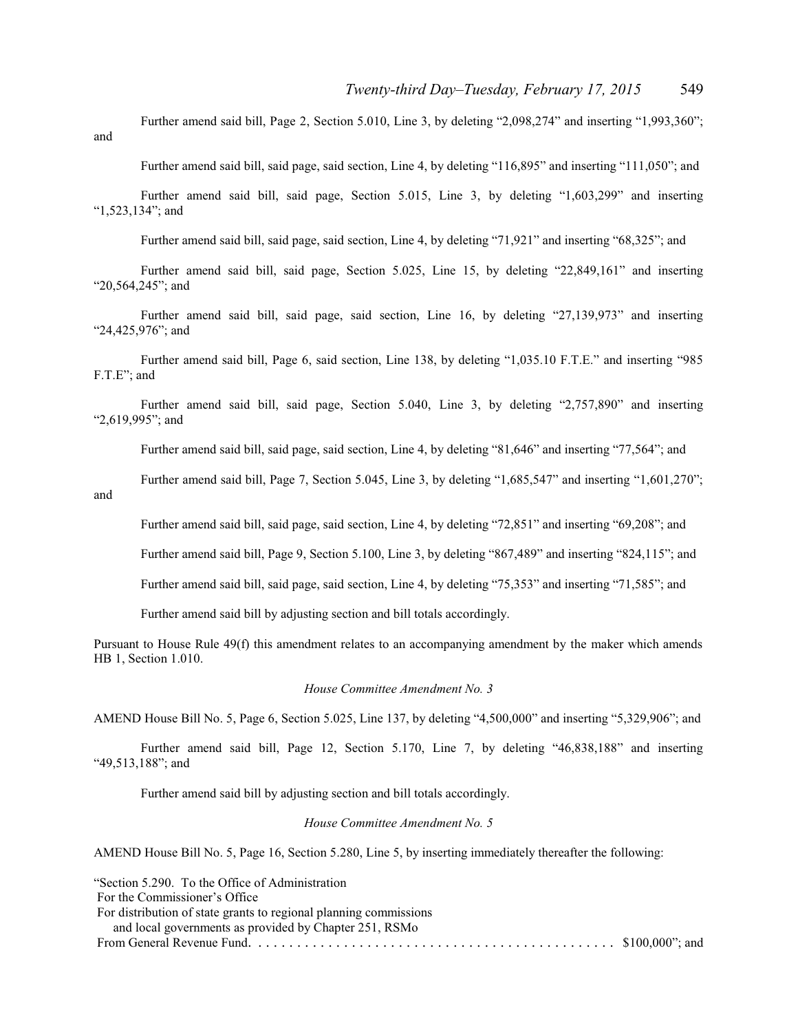Further amend said bill, Page 2, Section 5.010, Line 3, by deleting "2,098,274" and inserting "1,993,360"; and

Further amend said bill, said page, said section, Line 4, by deleting "116,895" and inserting "111,050"; and

Further amend said bill, said page, Section 5.015, Line 3, by deleting "1,603,299" and inserting "1,523,134"; and

Further amend said bill, said page, said section, Line 4, by deleting "71,921" and inserting "68,325"; and

Further amend said bill, said page, Section 5.025, Line 15, by deleting "22,849,161" and inserting "20,564,245"; and

Further amend said bill, said page, said section, Line 16, by deleting "27,139,973" and inserting "24,425,976"; and

Further amend said bill, Page 6, said section, Line 138, by deleting "1,035.10 F.T.E." and inserting "985 F.T.E"; and

Further amend said bill, said page, Section 5.040, Line 3, by deleting "2,757,890" and inserting "2,619,995"; and

Further amend said bill, said page, said section, Line 4, by deleting "81,646" and inserting "77,564"; and

Further amend said bill, Page 7, Section 5.045, Line 3, by deleting "1,685,547" and inserting "1,601,270"; and

Further amend said bill, said page, said section, Line 4, by deleting "72,851" and inserting "69,208"; and

Further amend said bill, Page 9, Section 5.100, Line 3, by deleting "867,489" and inserting "824,115"; and

Further amend said bill, said page, said section, Line 4, by deleting "75,353" and inserting "71,585"; and

Further amend said bill by adjusting section and bill totals accordingly.

Pursuant to House Rule 49(f) this amendment relates to an accompanying amendment by the maker which amends HB 1, Section 1.010.

*House Committee Amendment No. 3*

AMEND House Bill No. 5, Page 6, Section 5.025, Line 137, by deleting "4,500,000" and inserting "5,329,906"; and

Further amend said bill, Page 12, Section 5.170, Line 7, by deleting "46,838,188" and inserting "49,513,188"; and

Further amend said bill by adjusting section and bill totals accordingly.

#### *House Committee Amendment No. 5*

AMEND House Bill No. 5, Page 16, Section 5.280, Line 5, by inserting immediately thereafter the following:

| "Section 5.290. To the Office of Administration"                  |  |
|-------------------------------------------------------------------|--|
| For the Commissioner's Office                                     |  |
| For distribution of state grants to regional planning commissions |  |
| and local governments as provided by Chapter 251, RSMo            |  |
|                                                                   |  |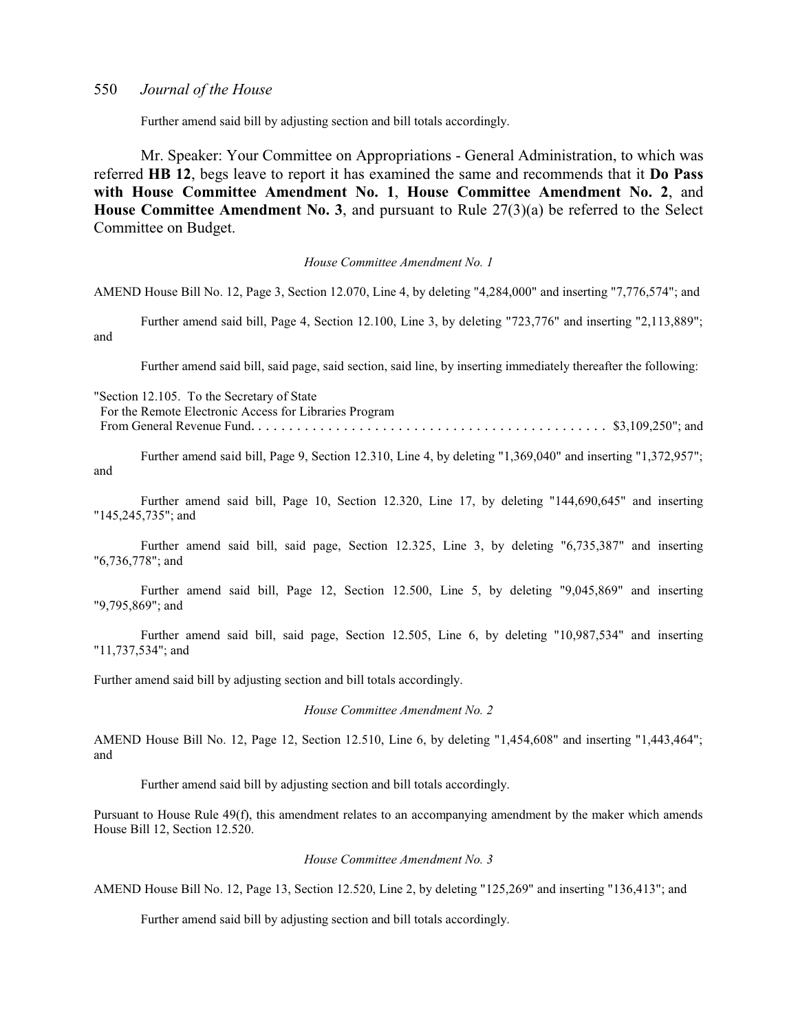Further amend said bill by adjusting section and bill totals accordingly.

Mr. Speaker: Your Committee on Appropriations - General Administration, to which was referred **HB 12**, begs leave to report it has examined the same and recommends that it **Do Pass with House Committee Amendment No. 1**, **House Committee Amendment No. 2**, and **House Committee Amendment No. 3**, and pursuant to Rule 27(3)(a) be referred to the Select Committee on Budget.

#### *House Committee Amendment No. 1*

AMEND House Bill No. 12, Page 3, Section 12.070, Line 4, by deleting "4,284,000" and inserting "7,776,574"; and

Further amend said bill, Page 4, Section 12.100, Line 3, by deleting "723,776" and inserting "2,113,889"; and

Further amend said bill, said page, said section, said line, by inserting immediately thereafter the following:

| "Section 12.105. To the Secretary of State"            |  |
|--------------------------------------------------------|--|
| For the Remote Electronic Access for Libraries Program |  |
|                                                        |  |

Further amend said bill, Page 9, Section 12.310, Line 4, by deleting "1,369,040" and inserting "1,372,957"; and

Further amend said bill, Page 10, Section 12.320, Line 17, by deleting "144,690,645" and inserting "145,245,735"; and

Further amend said bill, said page, Section 12.325, Line 3, by deleting "6,735,387" and inserting "6,736,778"; and

Further amend said bill, Page 12, Section 12.500, Line 5, by deleting "9,045,869" and inserting "9,795,869"; and

Further amend said bill, said page, Section 12.505, Line 6, by deleting "10,987,534" and inserting "11,737,534"; and

Further amend said bill by adjusting section and bill totals accordingly.

*House Committee Amendment No. 2*

AMEND House Bill No. 12, Page 12, Section 12.510, Line 6, by deleting "1,454,608" and inserting "1,443,464"; and

Further amend said bill by adjusting section and bill totals accordingly.

Pursuant to House Rule 49(f), this amendment relates to an accompanying amendment by the maker which amends House Bill 12, Section 12.520.

#### *House Committee Amendment No. 3*

AMEND House Bill No. 12, Page 13, Section 12.520, Line 2, by deleting "125,269" and inserting "136,413"; and

Further amend said bill by adjusting section and bill totals accordingly.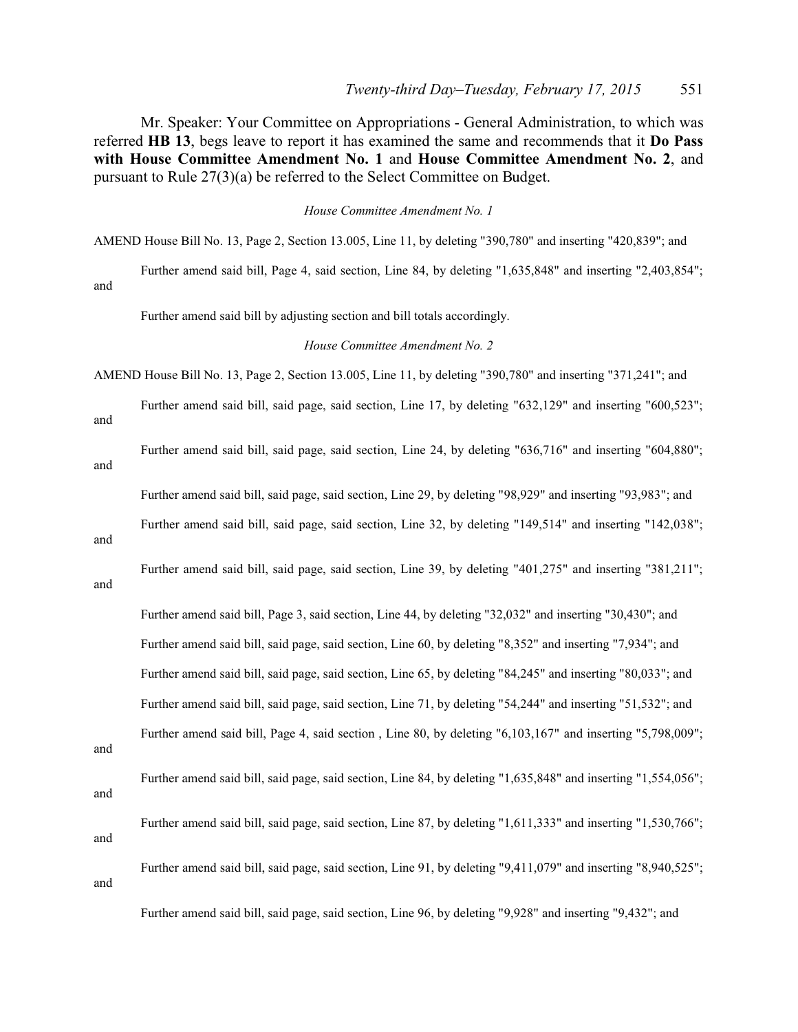Mr. Speaker: Your Committee on Appropriations - General Administration, to which was referred **HB 13**, begs leave to report it has examined the same and recommends that it **Do Pass with House Committee Amendment No. 1** and **House Committee Amendment No. 2**, and pursuant to Rule 27(3)(a) be referred to the Select Committee on Budget.

*House Committee Amendment No. 1*

AMEND House Bill No. 13, Page 2, Section 13.005, Line 11, by deleting "390,780" and inserting "420,839"; and

Further amend said bill, Page 4, said section, Line 84, by deleting "1,635,848" and inserting "2,403,854"; and

Further amend said bill by adjusting section and bill totals accordingly.

*House Committee Amendment No. 2*

AMEND House Bill No. 13, Page 2, Section 13.005, Line 11, by deleting "390,780" and inserting "371,241"; and

Further amend said bill, said page, said section, Line 17, by deleting "632,129" and inserting "600,523"; and

Further amend said bill, said page, said section, Line 24, by deleting "636,716" and inserting "604,880";

Further amend said bill, said page, said section, Line 29, by deleting "98,929" and inserting "93,983"; and

Further amend said bill, said page, said section, Line 32, by deleting "149,514" and inserting "142,038";

and

and

Further amend said bill, said page, said section, Line 39, by deleting "401,275" and inserting "381,211";

and

Further amend said bill, Page 3, said section, Line 44, by deleting "32,032" and inserting "30,430"; and Further amend said bill, said page, said section, Line 60, by deleting "8,352" and inserting "7,934"; and Further amend said bill, said page, said section, Line 65, by deleting "84,245" and inserting "80,033"; and Further amend said bill, said page, said section, Line 71, by deleting "54,244" and inserting "51,532"; and Further amend said bill, Page 4, said section , Line 80, by deleting "6,103,167" and inserting "5,798,009"; and Further amend said bill, said page, said section, Line 84, by deleting "1,635,848" and inserting "1,554,056"; and Further amend said bill, said page, said section, Line 87, by deleting "1,611,333" and inserting "1,530,766";

and

and

Further amend said bill, said page, said section, Line 91, by deleting "9,411,079" and inserting "8,940,525";

Further amend said bill, said page, said section, Line 96, by deleting "9,928" and inserting "9,432"; and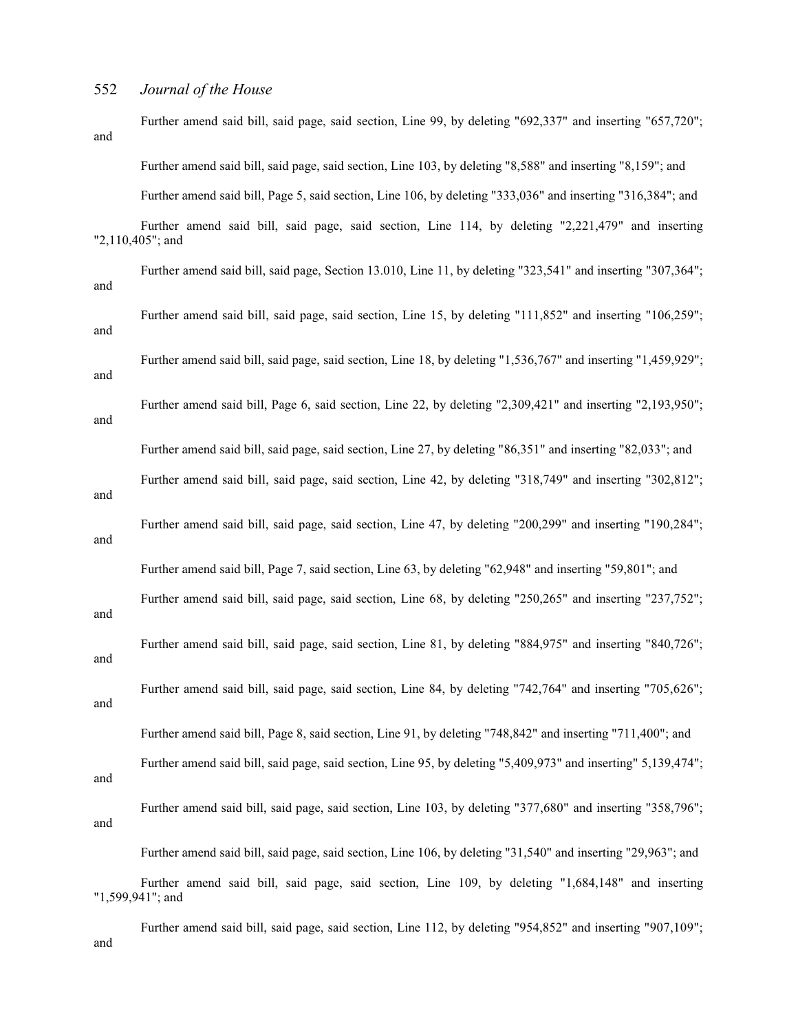Further amend said bill, said page, said section, Line 99, by deleting "692,337" and inserting "657,720"; and Further amend said bill, said page, said section, Line 103, by deleting "8,588" and inserting "8,159"; and Further amend said bill, Page 5, said section, Line 106, by deleting "333,036" and inserting "316,384"; and Further amend said bill, said page, said section, Line 114, by deleting "2,221,479" and inserting "2,110,405"; and Further amend said bill, said page, Section 13.010, Line 11, by deleting "323,541" and inserting "307,364"; and Further amend said bill, said page, said section, Line 15, by deleting "111,852" and inserting "106,259"; and Further amend said bill, said page, said section, Line 18, by deleting "1,536,767" and inserting "1,459,929"; and Further amend said bill, Page 6, said section, Line 22, by deleting "2,309,421" and inserting "2,193,950"; and Further amend said bill, said page, said section, Line 27, by deleting "86,351" and inserting "82,033"; and Further amend said bill, said page, said section, Line 42, by deleting "318,749" and inserting "302,812"; and Further amend said bill, said page, said section, Line 47, by deleting "200,299" and inserting "190,284"; and Further amend said bill, Page 7, said section, Line 63, by deleting "62,948" and inserting "59,801"; and Further amend said bill, said page, said section, Line 68, by deleting "250,265" and inserting "237,752"; and Further amend said bill, said page, said section, Line 81, by deleting "884,975" and inserting "840,726"; and Further amend said bill, said page, said section, Line 84, by deleting "742,764" and inserting "705,626"; and Further amend said bill, Page 8, said section, Line 91, by deleting "748,842" and inserting "711,400"; and Further amend said bill, said page, said section, Line 95, by deleting "5,409,973" and inserting" 5,139,474"; and Further amend said bill, said page, said section, Line 103, by deleting "377,680" and inserting "358,796"; and Further amend said bill, said page, said section, Line 106, by deleting "31,540" and inserting "29,963"; and Further amend said bill, said page, said section, Line 109, by deleting "1,684,148" and inserting "1,599,941"; and

Further amend said bill, said page, said section, Line 112, by deleting "954,852" and inserting "907,109"; and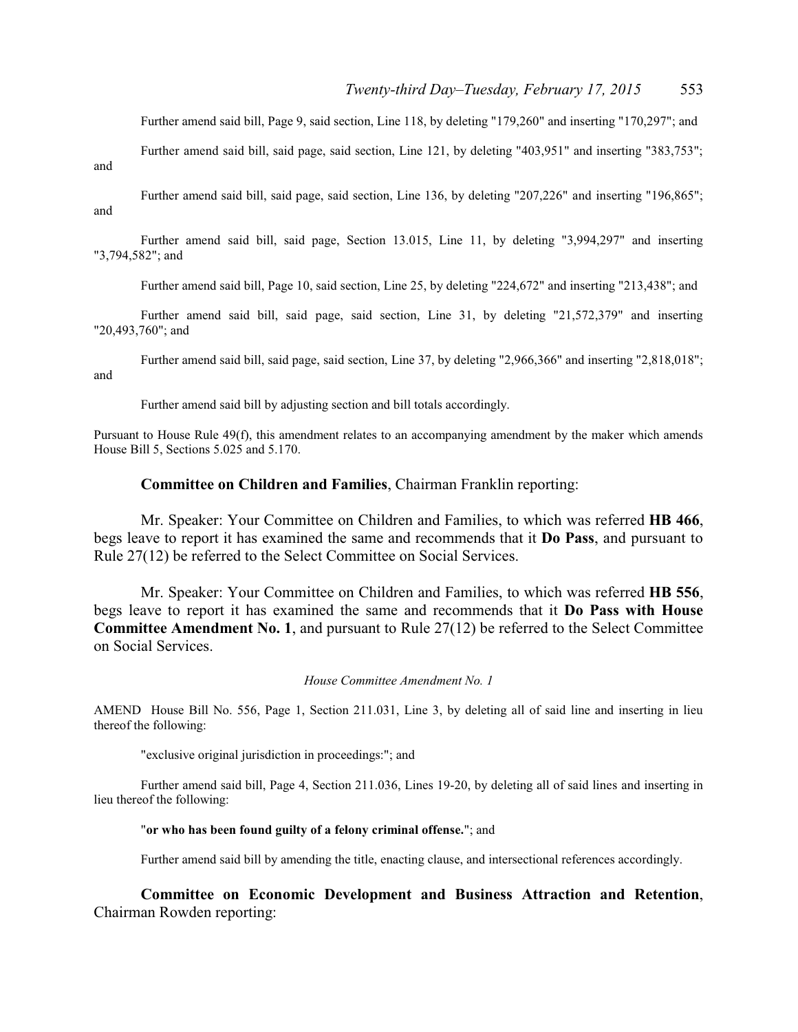Further amend said bill, Page 9, said section, Line 118, by deleting "179,260" and inserting "170,297"; and

Further amend said bill, said page, said section, Line 121, by deleting "403,951" and inserting "383,753";

and

Further amend said bill, said page, said section, Line 136, by deleting "207,226" and inserting "196,865"; and

Further amend said bill, said page, Section 13.015, Line 11, by deleting "3,994,297" and inserting "3,794,582"; and

Further amend said bill, Page 10, said section, Line 25, by deleting "224,672" and inserting "213,438"; and

Further amend said bill, said page, said section, Line 31, by deleting "21,572,379" and inserting "20,493,760"; and

Further amend said bill, said page, said section, Line 37, by deleting "2,966,366" and inserting "2,818,018"; and

Further amend said bill by adjusting section and bill totals accordingly.

Pursuant to House Rule 49(f), this amendment relates to an accompanying amendment by the maker which amends House Bill 5, Sections 5.025 and 5.170.

#### **Committee on Children and Families**, Chairman Franklin reporting:

Mr. Speaker: Your Committee on Children and Families, to which was referred **HB 466**, begs leave to report it has examined the same and recommends that it **Do Pass**, and pursuant to Rule 27(12) be referred to the Select Committee on Social Services.

Mr. Speaker: Your Committee on Children and Families, to which was referred **HB 556**, begs leave to report it has examined the same and recommends that it **Do Pass with House Committee Amendment No. 1**, and pursuant to Rule 27(12) be referred to the Select Committee on Social Services.

#### *House Committee Amendment No. 1*

AMEND House Bill No. 556, Page 1, Section 211.031, Line 3, by deleting all of said line and inserting in lieu thereof the following:

"exclusive original jurisdiction in proceedings:"; and

Further amend said bill, Page 4, Section 211.036, Lines 19-20, by deleting all of said lines and inserting in lieu thereof the following:

#### "**or who has been found guilty of a felony criminal offense.**"; and

Further amend said bill by amending the title, enacting clause, and intersectional references accordingly.

**Committee on Economic Development and Business Attraction and Retention**, Chairman Rowden reporting: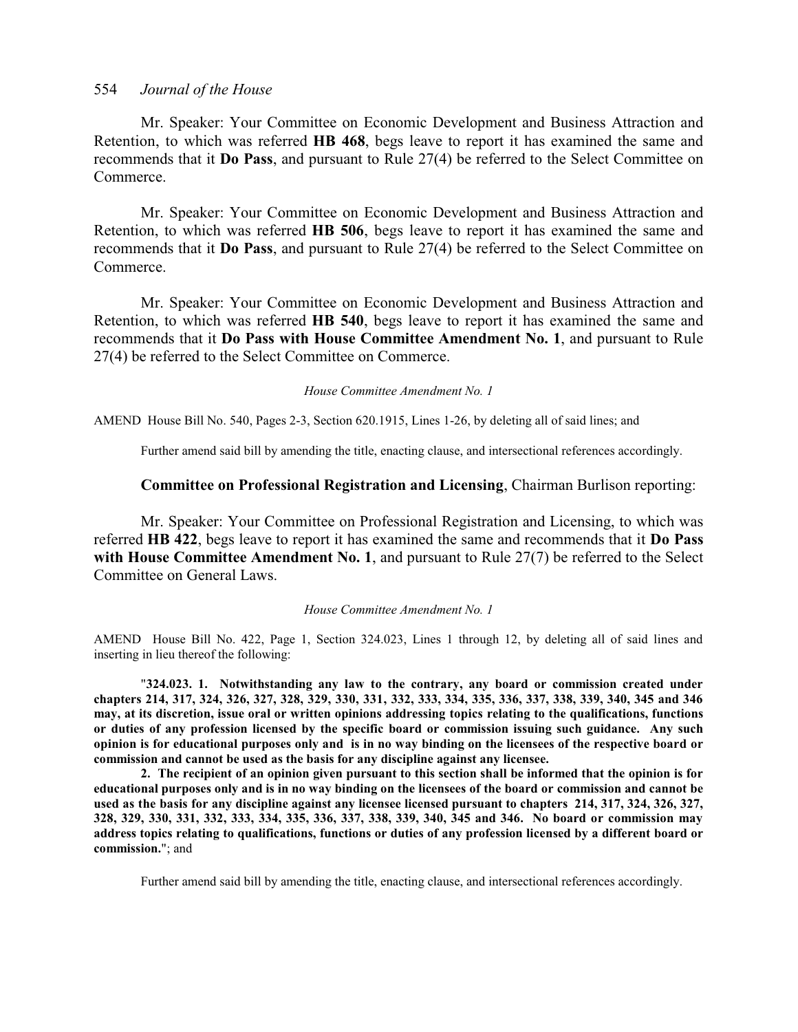Mr. Speaker: Your Committee on Economic Development and Business Attraction and Retention, to which was referred **HB 468**, begs leave to report it has examined the same and recommends that it **Do Pass**, and pursuant to Rule 27(4) be referred to the Select Committee on Commerce.

Mr. Speaker: Your Committee on Economic Development and Business Attraction and Retention, to which was referred **HB 506**, begs leave to report it has examined the same and recommends that it **Do Pass**, and pursuant to Rule 27(4) be referred to the Select Committee on Commerce.

Mr. Speaker: Your Committee on Economic Development and Business Attraction and Retention, to which was referred **HB 540**, begs leave to report it has examined the same and recommends that it **Do Pass with House Committee Amendment No. 1**, and pursuant to Rule 27(4) be referred to the Select Committee on Commerce.

*House Committee Amendment No. 1*

AMEND House Bill No. 540, Pages 2-3, Section 620.1915, Lines 1-26, by deleting all of said lines; and

Further amend said bill by amending the title, enacting clause, and intersectional references accordingly.

#### **Committee on Professional Registration and Licensing**, Chairman Burlison reporting:

Mr. Speaker: Your Committee on Professional Registration and Licensing, to which was referred **HB 422**, begs leave to report it has examined the same and recommends that it **Do Pass with House Committee Amendment No. 1**, and pursuant to Rule 27(7) be referred to the Select Committee on General Laws.

#### *House Committee Amendment No. 1*

AMEND House Bill No. 422, Page 1, Section 324.023, Lines 1 through 12, by deleting all of said lines and inserting in lieu thereof the following:

"**324.023. 1. Notwithstanding any law to the contrary, any board or commission created under chapters 214, 317, 324, 326, 327, 328, 329, 330, 331, 332, 333, 334, 335, 336, 337, 338, 339, 340, 345 and 346 may, at its discretion, issue oral or written opinions addressing topics relating to the qualifications, functions or duties of any profession licensed by the specific board or commission issuing such guidance. Any such opinion is for educational purposes only and is in no way binding on the licensees of the respective board or commission and cannot be used as the basis for any discipline against any licensee.**

**2. The recipient of an opinion given pursuant to this section shall be informed that the opinion is for educational purposes only and is in no way binding on the licensees of the board or commission and cannot be used as the basis for any discipline against any licensee licensed pursuant to chapters 214, 317, 324, 326, 327, 328, 329, 330, 331, 332, 333, 334, 335, 336, 337, 338, 339, 340, 345 and 346. No board or commission may address topics relating to qualifications, functions or duties of any profession licensed by a different board or commission.**"; and

Further amend said bill by amending the title, enacting clause, and intersectional references accordingly.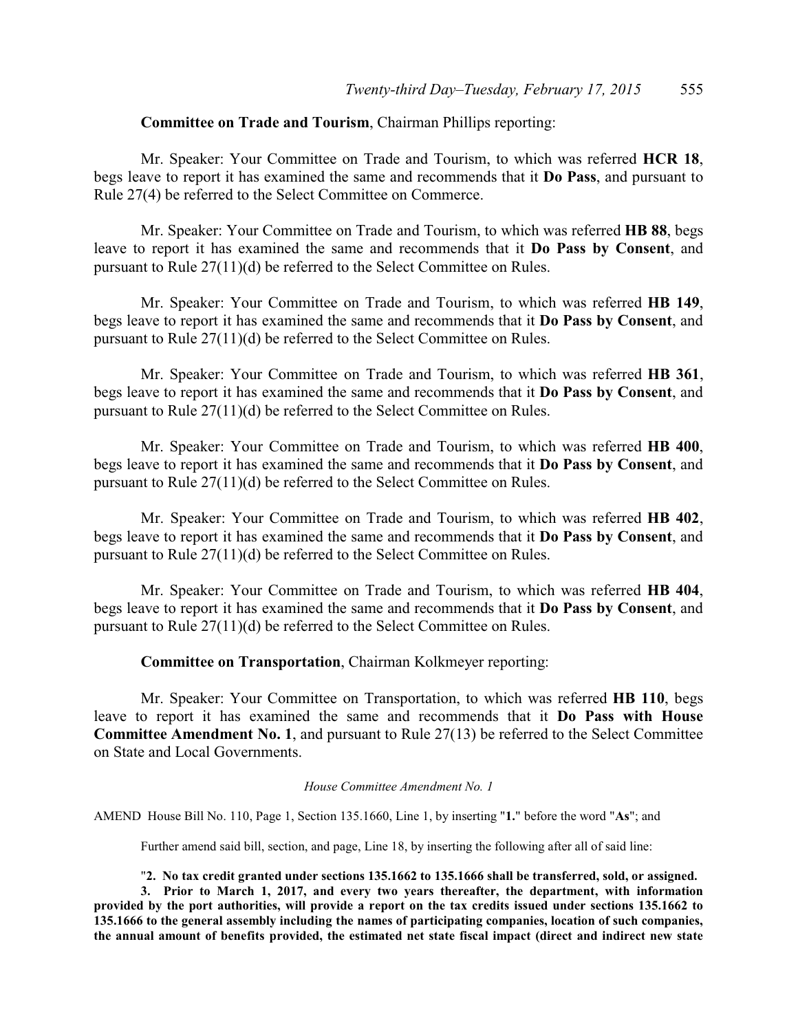#### **Committee on Trade and Tourism**, Chairman Phillips reporting:

Mr. Speaker: Your Committee on Trade and Tourism, to which was referred **HCR 18**, begs leave to report it has examined the same and recommends that it **Do Pass**, and pursuant to Rule 27(4) be referred to the Select Committee on Commerce.

Mr. Speaker: Your Committee on Trade and Tourism, to which was referred **HB 88**, begs leave to report it has examined the same and recommends that it **Do Pass by Consent**, and pursuant to Rule 27(11)(d) be referred to the Select Committee on Rules.

Mr. Speaker: Your Committee on Trade and Tourism, to which was referred **HB 149**, begs leave to report it has examined the same and recommends that it **Do Pass by Consent**, and pursuant to Rule 27(11)(d) be referred to the Select Committee on Rules.

Mr. Speaker: Your Committee on Trade and Tourism, to which was referred **HB 361**, begs leave to report it has examined the same and recommends that it **Do Pass by Consent**, and pursuant to Rule 27(11)(d) be referred to the Select Committee on Rules.

Mr. Speaker: Your Committee on Trade and Tourism, to which was referred **HB 400**, begs leave to report it has examined the same and recommends that it **Do Pass by Consent**, and pursuant to Rule 27(11)(d) be referred to the Select Committee on Rules.

Mr. Speaker: Your Committee on Trade and Tourism, to which was referred **HB 402**, begs leave to report it has examined the same and recommends that it **Do Pass by Consent**, and pursuant to Rule 27(11)(d) be referred to the Select Committee on Rules.

Mr. Speaker: Your Committee on Trade and Tourism, to which was referred **HB 404**, begs leave to report it has examined the same and recommends that it **Do Pass by Consent**, and pursuant to Rule 27(11)(d) be referred to the Select Committee on Rules.

**Committee on Transportation**, Chairman Kolkmeyer reporting:

Mr. Speaker: Your Committee on Transportation, to which was referred **HB 110**, begs leave to report it has examined the same and recommends that it **Do Pass with House Committee Amendment No. 1**, and pursuant to Rule 27(13) be referred to the Select Committee on State and Local Governments.

#### *House Committee Amendment No. 1*

AMEND House Bill No. 110, Page 1, Section 135.1660, Line 1, by inserting "**1.**" before the word "**As**"; and

Further amend said bill, section, and page, Line 18, by inserting the following after all of said line:

"**2. No tax credit granted under sections 135.1662 to 135.1666 shall be transferred, sold, or assigned.**

**3. Prior to March 1, 2017, and every two years thereafter, the department, with information provided by the port authorities, will provide a report on the tax credits issued under sections 135.1662 to 135.1666 to the general assembly including the names of participating companies, location of such companies, the annual amount of benefits provided, the estimated net state fiscal impact (direct and indirect new state**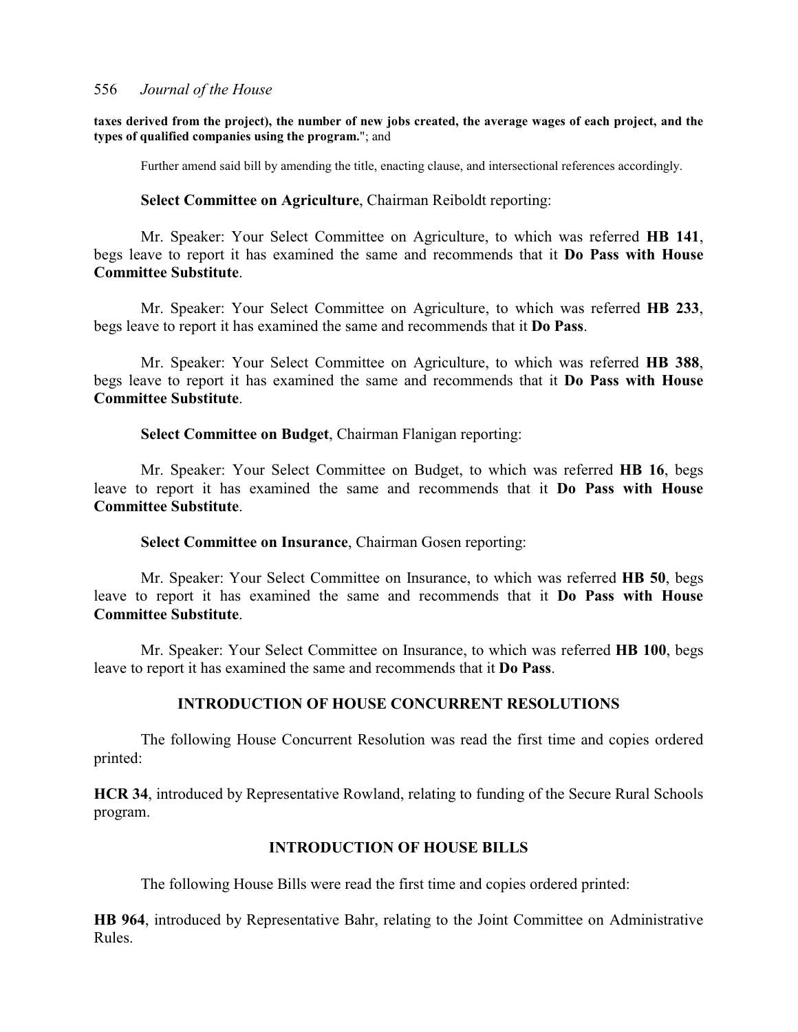#### **taxes derived from the project), the number of new jobs created, the average wages of each project, and the types of qualified companies using the program.**"; and

Further amend said bill by amending the title, enacting clause, and intersectional references accordingly.

#### **Select Committee on Agriculture**, Chairman Reiboldt reporting:

Mr. Speaker: Your Select Committee on Agriculture, to which was referred **HB 141**, begs leave to report it has examined the same and recommends that it **Do Pass with House Committee Substitute**.

Mr. Speaker: Your Select Committee on Agriculture, to which was referred **HB 233**, begs leave to report it has examined the same and recommends that it **Do Pass**.

Mr. Speaker: Your Select Committee on Agriculture, to which was referred **HB 388**, begs leave to report it has examined the same and recommends that it **Do Pass with House Committee Substitute**.

**Select Committee on Budget**, Chairman Flanigan reporting:

Mr. Speaker: Your Select Committee on Budget, to which was referred **HB 16**, begs leave to report it has examined the same and recommends that it **Do Pass with House Committee Substitute**.

#### **Select Committee on Insurance**, Chairman Gosen reporting:

Mr. Speaker: Your Select Committee on Insurance, to which was referred **HB 50**, begs leave to report it has examined the same and recommends that it **Do Pass with House Committee Substitute**.

Mr. Speaker: Your Select Committee on Insurance, to which was referred **HB 100**, begs leave to report it has examined the same and recommends that it **Do Pass**.

### **INTRODUCTION OF HOUSE CONCURRENT RESOLUTIONS**

The following House Concurrent Resolution was read the first time and copies ordered printed:

**HCR 34**, introduced by Representative Rowland, relating to funding of the Secure Rural Schools program.

### **INTRODUCTION OF HOUSE BILLS**

The following House Bills were read the first time and copies ordered printed:

**HB 964**, introduced by Representative Bahr, relating to the Joint Committee on Administrative Rules.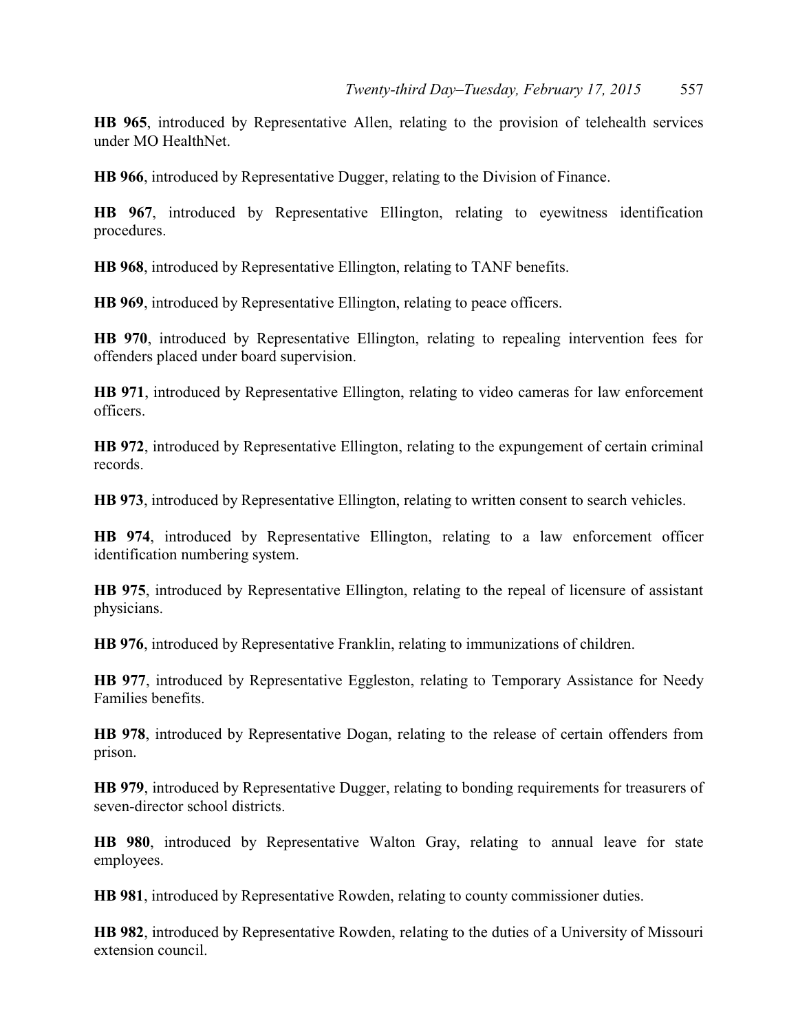**HB 965**, introduced by Representative Allen, relating to the provision of telehealth services under MO HealthNet.

**HB 966**, introduced by Representative Dugger, relating to the Division of Finance.

**HB 967**, introduced by Representative Ellington, relating to eyewitness identification procedures.

**HB 968**, introduced by Representative Ellington, relating to TANF benefits.

**HB 969**, introduced by Representative Ellington, relating to peace officers.

**HB 970**, introduced by Representative Ellington, relating to repealing intervention fees for offenders placed under board supervision.

**HB 971**, introduced by Representative Ellington, relating to video cameras for law enforcement officers.

**HB 972**, introduced by Representative Ellington, relating to the expungement of certain criminal records.

**HB 973**, introduced by Representative Ellington, relating to written consent to search vehicles.

**HB 974**, introduced by Representative Ellington, relating to a law enforcement officer identification numbering system.

**HB 975**, introduced by Representative Ellington, relating to the repeal of licensure of assistant physicians.

**HB 976**, introduced by Representative Franklin, relating to immunizations of children.

**HB 977**, introduced by Representative Eggleston, relating to Temporary Assistance for Needy Families benefits.

**HB 978**, introduced by Representative Dogan, relating to the release of certain offenders from prison.

**HB 979**, introduced by Representative Dugger, relating to bonding requirements for treasurers of seven-director school districts.

**HB 980**, introduced by Representative Walton Gray, relating to annual leave for state employees.

**HB 981**, introduced by Representative Rowden, relating to county commissioner duties.

**HB 982**, introduced by Representative Rowden, relating to the duties of a University of Missouri extension council.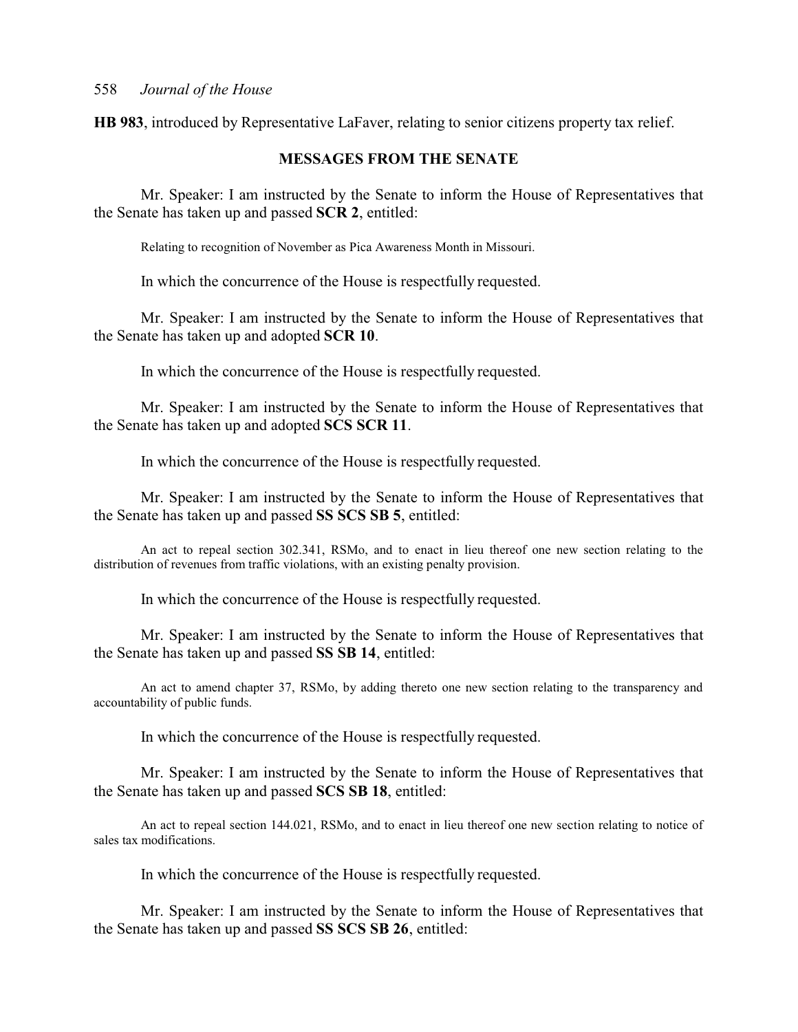**HB 983**, introduced by Representative LaFaver, relating to senior citizens property tax relief.

### **MESSAGES FROM THE SENATE**

Mr. Speaker: I am instructed by the Senate to inform the House of Representatives that the Senate has taken up and passed **SCR 2**, entitled:

Relating to recognition of November as Pica Awareness Month in Missouri.

In which the concurrence of the House is respectfully requested.

Mr. Speaker: I am instructed by the Senate to inform the House of Representatives that the Senate has taken up and adopted **SCR 10**.

In which the concurrence of the House is respectfully requested.

Mr. Speaker: I am instructed by the Senate to inform the House of Representatives that the Senate has taken up and adopted **SCS SCR 11**.

In which the concurrence of the House is respectfully requested.

Mr. Speaker: I am instructed by the Senate to inform the House of Representatives that the Senate has taken up and passed **SS SCS SB 5**, entitled:

An act to repeal section 302.341, RSMo, and to enact in lieu thereof one new section relating to the distribution of revenues from traffic violations, with an existing penalty provision.

In which the concurrence of the House is respectfully requested.

Mr. Speaker: I am instructed by the Senate to inform the House of Representatives that the Senate has taken up and passed **SS SB 14**, entitled:

An act to amend chapter 37, RSMo, by adding thereto one new section relating to the transparency and accountability of public funds.

In which the concurrence of the House is respectfully requested.

Mr. Speaker: I am instructed by the Senate to inform the House of Representatives that the Senate has taken up and passed **SCS SB 18**, entitled:

An act to repeal section 144.021, RSMo, and to enact in lieu thereof one new section relating to notice of sales tax modifications.

In which the concurrence of the House is respectfully requested.

Mr. Speaker: I am instructed by the Senate to inform the House of Representatives that the Senate has taken up and passed **SS SCS SB 26**, entitled: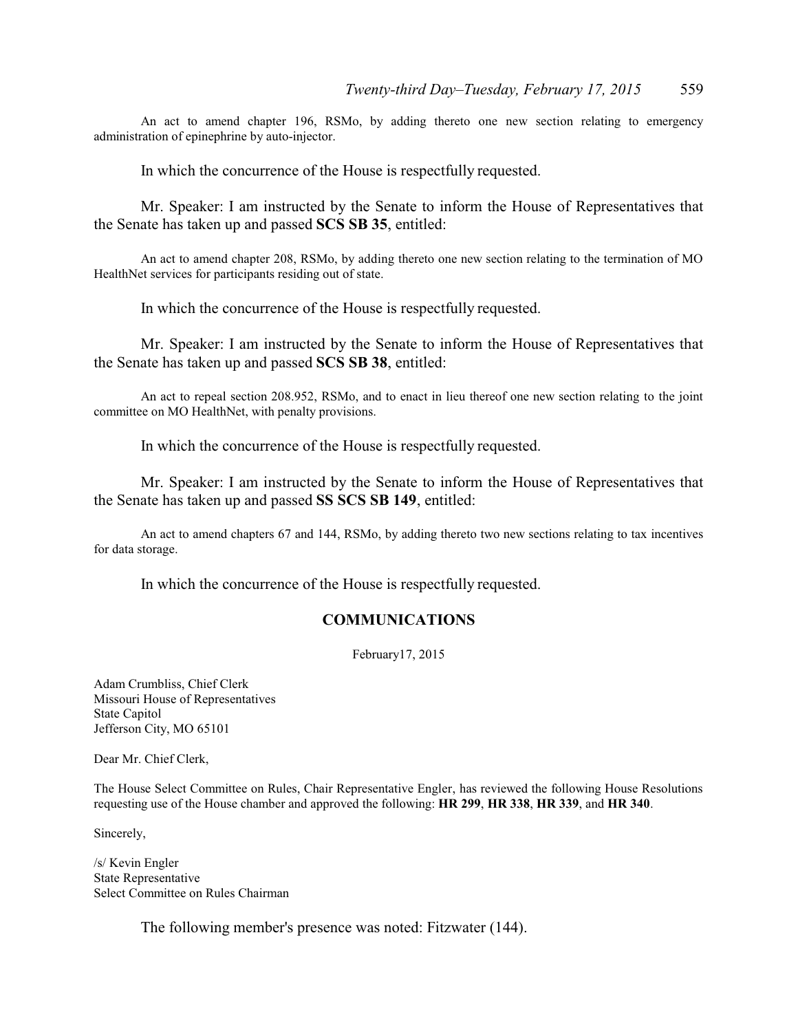An act to amend chapter 196, RSMo, by adding thereto one new section relating to emergency administration of epinephrine by auto-injector.

In which the concurrence of the House is respectfully requested.

Mr. Speaker: I am instructed by the Senate to inform the House of Representatives that the Senate has taken up and passed **SCS SB 35**, entitled:

An act to amend chapter 208, RSMo, by adding thereto one new section relating to the termination of MO HealthNet services for participants residing out of state.

In which the concurrence of the House is respectfully requested.

Mr. Speaker: I am instructed by the Senate to inform the House of Representatives that the Senate has taken up and passed **SCS SB 38**, entitled:

An act to repeal section 208.952, RSMo, and to enact in lieu thereof one new section relating to the joint committee on MO HealthNet, with penalty provisions.

In which the concurrence of the House is respectfully requested.

Mr. Speaker: I am instructed by the Senate to inform the House of Representatives that the Senate has taken up and passed **SS SCS SB 149**, entitled:

An act to amend chapters 67 and 144, RSMo, by adding thereto two new sections relating to tax incentives for data storage.

In which the concurrence of the House is respectfully requested.

#### **COMMUNICATIONS**

February17, 2015

Adam Crumbliss, Chief Clerk Missouri House of Representatives State Capitol Jefferson City, MO 65101

Dear Mr. Chief Clerk,

The House Select Committee on Rules, Chair Representative Engler, has reviewed the following House Resolutions requesting use of the House chamber and approved the following: **HR 299**, **HR 338**, **HR 339**, and **HR 340**.

Sincerely,

/s/ Kevin Engler State Representative Select Committee on Rules Chairman

The following member's presence was noted: Fitzwater (144).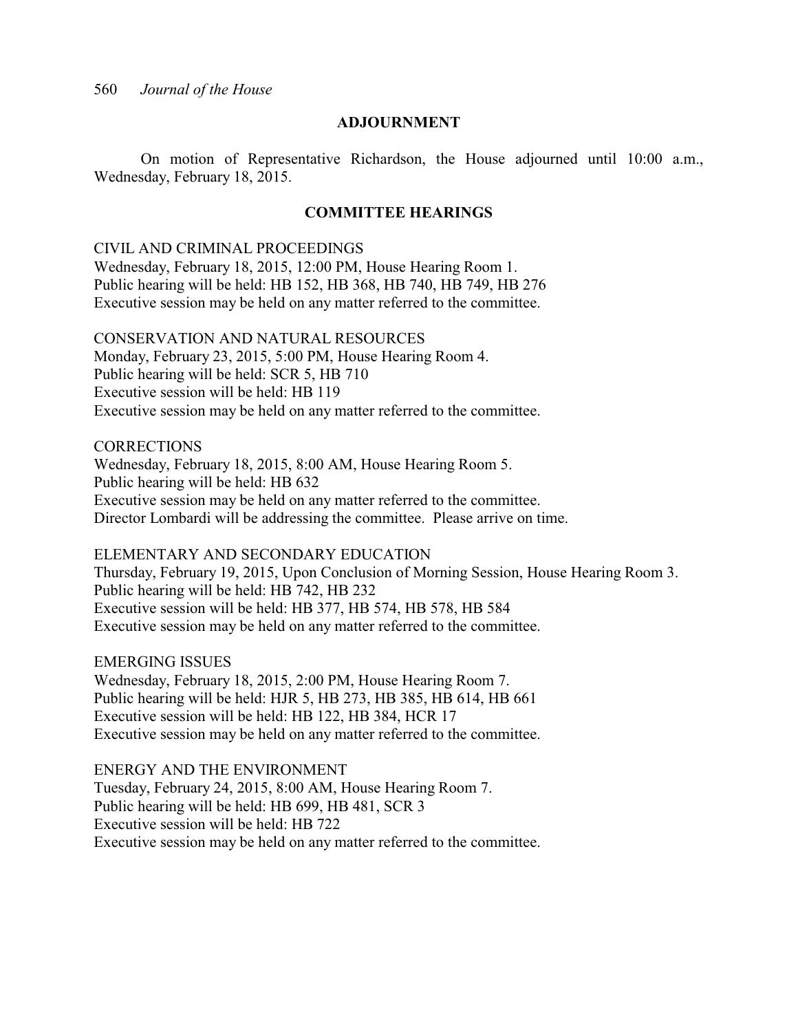#### **ADJOURNMENT**

On motion of Representative Richardson, the House adjourned until 10:00 a.m., Wednesday, February 18, 2015.

### **COMMITTEE HEARINGS**

#### CIVIL AND CRIMINAL PROCEEDINGS

Wednesday, February 18, 2015, 12:00 PM, House Hearing Room 1. Public hearing will be held: HB 152, HB 368, HB 740, HB 749, HB 276 Executive session may be held on any matter referred to the committee.

### CONSERVATION AND NATURAL RESOURCES

Monday, February 23, 2015, 5:00 PM, House Hearing Room 4. Public hearing will be held: SCR 5, HB 710 Executive session will be held: HB 119 Executive session may be held on any matter referred to the committee.

# **CORRECTIONS**

Wednesday, February 18, 2015, 8:00 AM, House Hearing Room 5. Public hearing will be held: HB 632 Executive session may be held on any matter referred to the committee. Director Lombardi will be addressing the committee. Please arrive on time.

### ELEMENTARY AND SECONDARY EDUCATION

Thursday, February 19, 2015, Upon Conclusion of Morning Session, House Hearing Room 3. Public hearing will be held: HB 742, HB 232 Executive session will be held: HB 377, HB 574, HB 578, HB 584 Executive session may be held on any matter referred to the committee.

EMERGING ISSUES

Wednesday, February 18, 2015, 2:00 PM, House Hearing Room 7. Public hearing will be held: HJR 5, HB 273, HB 385, HB 614, HB 661 Executive session will be held: HB 122, HB 384, HCR 17 Executive session may be held on any matter referred to the committee.

ENERGY AND THE ENVIRONMENT

Tuesday, February 24, 2015, 8:00 AM, House Hearing Room 7. Public hearing will be held: HB 699, HB 481, SCR 3 Executive session will be held: HB 722 Executive session may be held on any matter referred to the committee.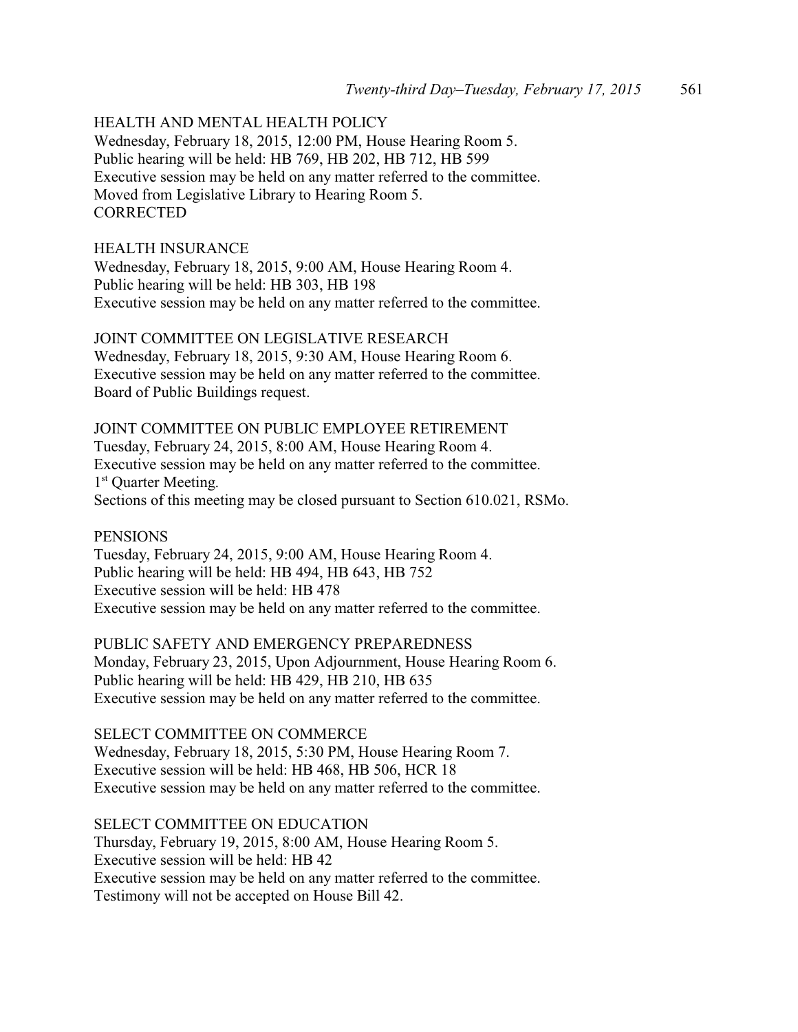# HEALTH AND MENTAL HEALTH POLICY

Wednesday, February 18, 2015, 12:00 PM, House Hearing Room 5. Public hearing will be held: HB 769, HB 202, HB 712, HB 599 Executive session may be held on any matter referred to the committee. Moved from Legislative Library to Hearing Room 5. **CORRECTED** 

#### HEALTH INSURANCE

Wednesday, February 18, 2015, 9:00 AM, House Hearing Room 4. Public hearing will be held: HB 303, HB 198 Executive session may be held on any matter referred to the committee.

# JOINT COMMITTEE ON LEGISLATIVE RESEARCH

Wednesday, February 18, 2015, 9:30 AM, House Hearing Room 6. Executive session may be held on any matter referred to the committee. Board of Public Buildings request.

# JOINT COMMITTEE ON PUBLIC EMPLOYEE RETIREMENT Tuesday, February 24, 2015, 8:00 AM, House Hearing Room 4. Executive session may be held on any matter referred to the committee. 1<sup>st</sup> Quarter Meeting. Sections of this meeting may be closed pursuant to Section 610.021, RSMo.

#### **PENSIONS**

Tuesday, February 24, 2015, 9:00 AM, House Hearing Room 4. Public hearing will be held: HB 494, HB 643, HB 752 Executive session will be held: HB 478 Executive session may be held on any matter referred to the committee.

PUBLIC SAFETY AND EMERGENCY PREPAREDNESS Monday, February 23, 2015, Upon Adjournment, House Hearing Room 6. Public hearing will be held: HB 429, HB 210, HB 635 Executive session may be held on any matter referred to the committee.

#### SELECT COMMITTEE ON COMMERCE

Wednesday, February 18, 2015, 5:30 PM, House Hearing Room 7. Executive session will be held: HB 468, HB 506, HCR 18 Executive session may be held on any matter referred to the committee.

#### SELECT COMMITTEE ON EDUCATION

Thursday, February 19, 2015, 8:00 AM, House Hearing Room 5. Executive session will be held: HB 42 Executive session may be held on any matter referred to the committee. Testimony will not be accepted on House Bill 42.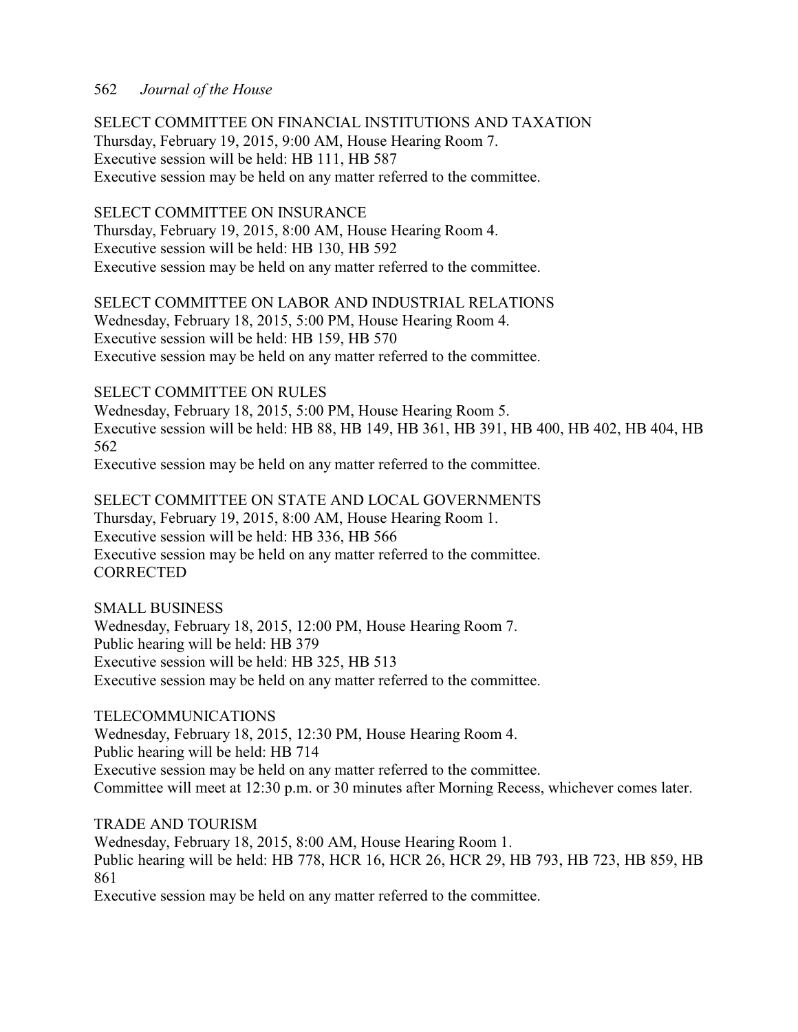SELECT COMMITTEE ON FINANCIAL INSTITUTIONS AND TAXATION Thursday, February 19, 2015, 9:00 AM, House Hearing Room 7. Executive session will be held: HB 111, HB 587 Executive session may be held on any matter referred to the committee.

# SELECT COMMITTEE ON INSURANCE

Thursday, February 19, 2015, 8:00 AM, House Hearing Room 4. Executive session will be held: HB 130, HB 592 Executive session may be held on any matter referred to the committee.

SELECT COMMITTEE ON LABOR AND INDUSTRIAL RELATIONS Wednesday, February 18, 2015, 5:00 PM, House Hearing Room 4. Executive session will be held: HB 159, HB 570 Executive session may be held on any matter referred to the committee.

### SELECT COMMITTEE ON RULES

Wednesday, February 18, 2015, 5:00 PM, House Hearing Room 5. Executive session will be held: HB 88, HB 149, HB 361, HB 391, HB 400, HB 402, HB 404, HB 562 Executive session may be held on any matter referred to the committee.

SELECT COMMITTEE ON STATE AND LOCAL GOVERNMENTS Thursday, February 19, 2015, 8:00 AM, House Hearing Room 1. Executive session will be held: HB 336, HB 566 Executive session may be held on any matter referred to the committee. **CORRECTED** 

SMALL BUSINESS Wednesday, February 18, 2015, 12:00 PM, House Hearing Room 7. Public hearing will be held: HB 379 Executive session will be held: HB 325, HB 513 Executive session may be held on any matter referred to the committee.

TELECOMMUNICATIONS

Wednesday, February 18, 2015, 12:30 PM, House Hearing Room 4. Public hearing will be held: HB 714 Executive session may be held on any matter referred to the committee. Committee will meet at 12:30 p.m. or 30 minutes after Morning Recess, whichever comes later.

TRADE AND TOURISM

Wednesday, February 18, 2015, 8:00 AM, House Hearing Room 1. Public hearing will be held: HB 778, HCR 16, HCR 26, HCR 29, HB 793, HB 723, HB 859, HB 861

Executive session may be held on any matter referred to the committee.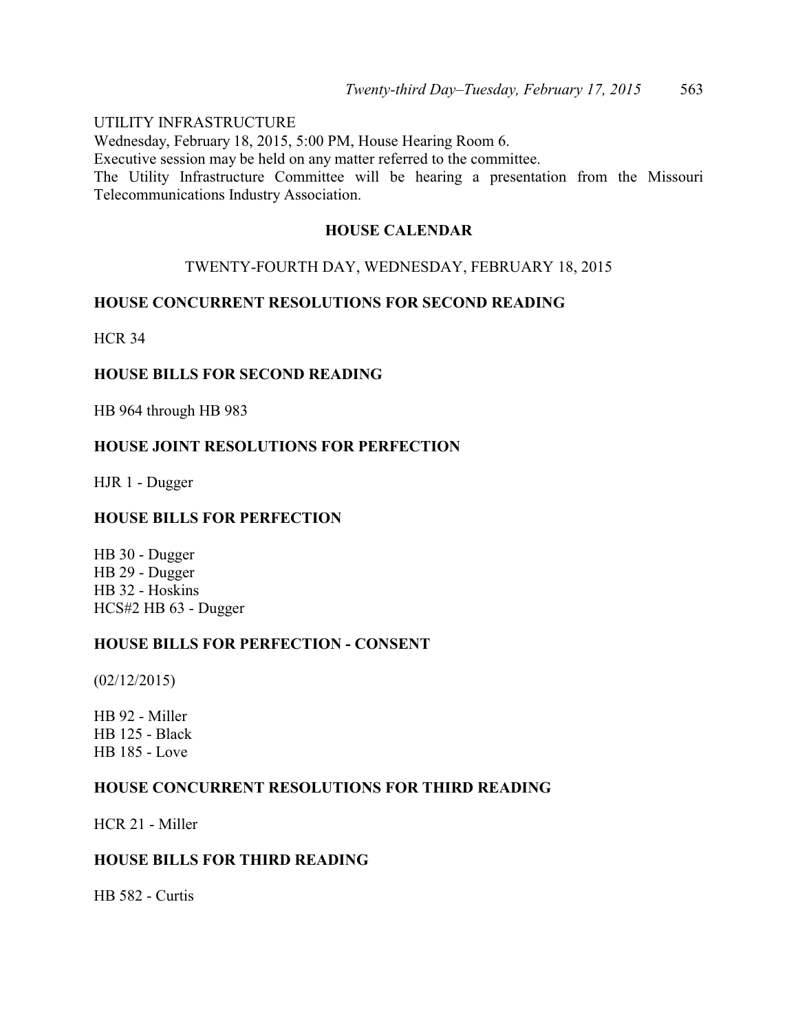UTILITY INFRASTRUCTURE Wednesday, February 18, 2015, 5:00 PM, House Hearing Room 6. Executive session may be held on any matter referred to the committee. The Utility Infrastructure Committee will be hearing a presentation from the Missouri Telecommunications Industry Association.

# **HOUSE CALENDAR**

# TWENTY-FOURTH DAY, WEDNESDAY, FEBRUARY 18, 2015

# **HOUSE CONCURRENT RESOLUTIONS FOR SECOND READING**

HCR 34

# **HOUSE BILLS FOR SECOND READING**

HB 964 through HB 983

# **HOUSE JOINT RESOLUTIONS FOR PERFECTION**

HJR 1 - Dugger

### **HOUSE BILLS FOR PERFECTION**

HB 30 - Dugger HB 29 - Dugger HB 32 - Hoskins HCS#2 HB 63 - Dugger

### **HOUSE BILLS FOR PERFECTION - CONSENT**

(02/12/2015)

HB 92 - Miller HB 125 - Black HB 185 - Love

# **HOUSE CONCURRENT RESOLUTIONS FOR THIRD READING**

HCR 21 - Miller

# **HOUSE BILLS FOR THIRD READING**

HB 582 - Curtis